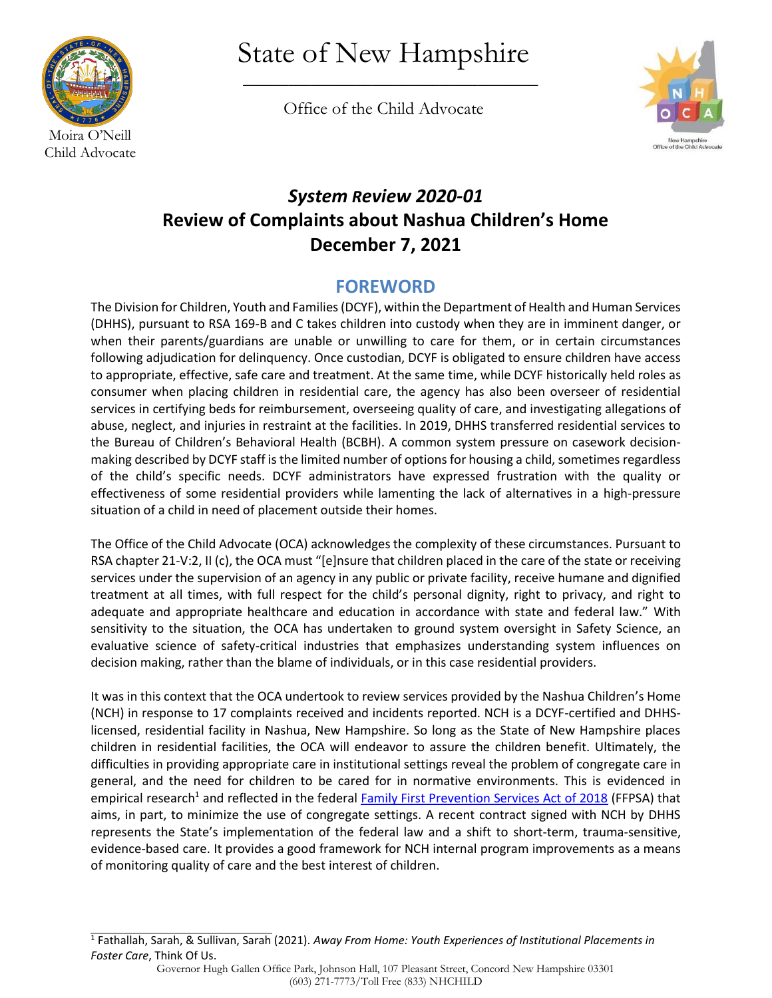

State of New Hampshire

\_\_\_\_\_\_\_\_\_\_\_\_\_\_\_\_\_\_\_\_\_\_\_\_\_\_\_\_\_\_\_\_\_\_\_\_\_\_\_

Office of the Child Advocate



# *System Review 2020-01* **Review of Complaints about Nashua Children's Home December 7, 2021**

## **FOREWORD**

The Division for Children, Youth and Families (DCYF), within the Department of Health and Human Services (DHHS), pursuant to RSA 169-B and C takes children into custody when they are in imminent danger, or when their parents/guardians are unable or unwilling to care for them, or in certain circumstances following adjudication for delinquency. Once custodian, DCYF is obligated to ensure children have access to appropriate, effective, safe care and treatment. At the same time, while DCYF historically held roles as consumer when placing children in residential care, the agency has also been overseer of residential services in certifying beds for reimbursement, overseeing quality of care, and investigating allegations of abuse, neglect, and injuries in restraint at the facilities. In 2019, DHHS transferred residential services to the Bureau of Children's Behavioral Health (BCBH). A common system pressure on casework decisionmaking described by DCYF staff is the limited number of options for housing a child, sometimes regardless of the child's specific needs. DCYF administrators have expressed frustration with the quality or effectiveness of some residential providers while lamenting the lack of alternatives in a high-pressure situation of a child in need of placement outside their homes.

The Office of the Child Advocate (OCA) acknowledges the complexity of these circumstances. Pursuant to RSA chapter 21-V:2, II (c), the OCA must "[e]nsure that children placed in the care of the state or receiving services under the supervision of an agency in any public or private facility, receive humane and dignified treatment at all times, with full respect for the child's personal dignity, right to privacy, and right to adequate and appropriate healthcare and education in accordance with state and federal law." With sensitivity to the situation, the OCA has undertaken to ground system oversight in Safety Science, an evaluative science of safety-critical industries that emphasizes understanding system influences on decision making, rather than the blame of individuals, or in this case residential providers.

It was in this context that the OCA undertook to review services provided by the Nashua Children's Home (NCH) in response to 17 complaints received and incidents reported. NCH is a DCYF-certified and DHHSlicensed, residential facility in Nashua, New Hampshire. So long as the State of New Hampshire places children in residential facilities, the OCA will endeavor to assure the children benefit. Ultimately, the difficulties in providing appropriate care in institutional settings reveal the problem of congregate care in general, and the need for children to be cared for in normative environments. This is evidenced in empirical research<sup>1</sup> and reflected in the federal [Family First Prevention Services Act of 2018](https://www.acf.hhs.gov/cb/title-iv-e-prevention-program) (FFPSA) that aims, in part, to minimize the use of congregate settings. A recent contract signed with NCH by DHHS represents the State's implementation of the federal law and a shift to short-term, trauma-sensitive, evidence-based care. It provides a good framework for NCH internal program improvements as a means of monitoring quality of care and the best interest of children.

<sup>1</sup> Fathallah, Sarah, & Sullivan, Sarah (2021). *Away From Home: Youth Experiences of Institutional Placements in Foster Care*, Think Of Us.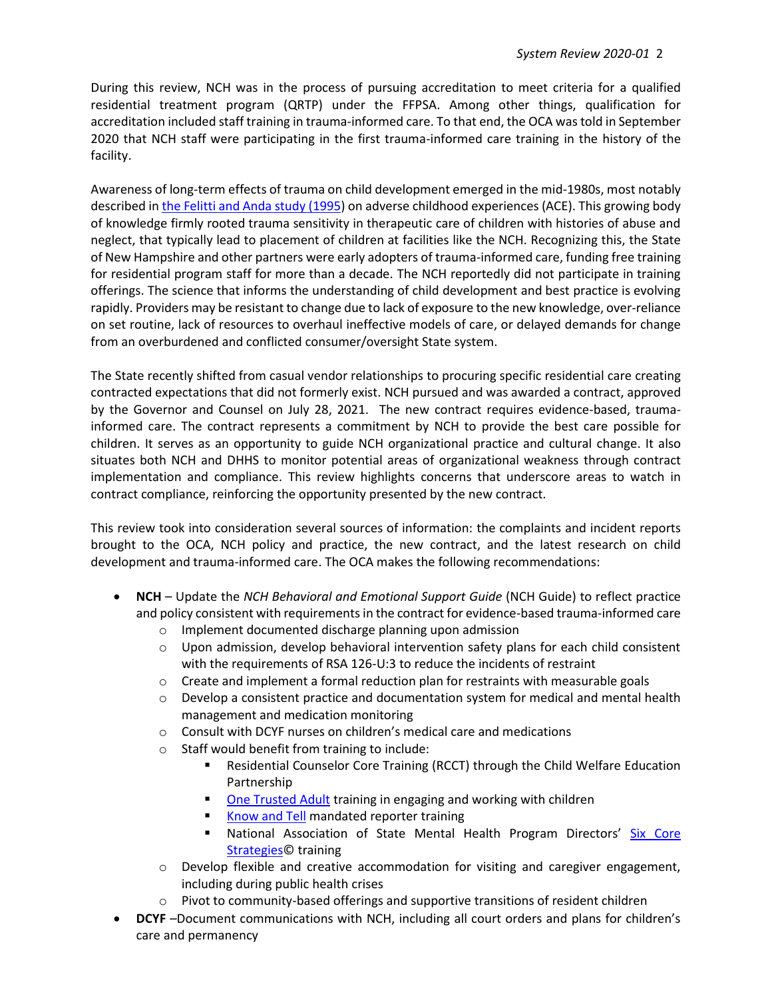During this review, NCH was in the process of pursuing accreditation to meet criteria for a qualified residential treatment program (QRTP) under the FFPSA. Among other things, qualification for accreditation included staff training in trauma-informed care. To that end, the OCA was told in September 2020 that NCH staff were participating in the first trauma-informed care training in the history of the facility.

Awareness of long-term effects of trauma on child development emerged in the mid-1980s, most notably described i[n the Felitti and Anda study \(1995\)](https://pubmed.ncbi.nlm.nih.gov/31104722/) on adverse childhood experiences (ACE). This growing body of knowledge firmly rooted trauma sensitivity in therapeutic care of children with histories of abuse and neglect, that typically lead to placement of children at facilities like the NCH. Recognizing this, the State of New Hampshire and other partners were early adopters of trauma-informed care, funding free training for residential program staff for more than a decade. The NCH reportedly did not participate in training offerings. The science that informs the understanding of child development and best practice is evolving rapidly. Providers may be resistant to change due to lack of exposure to the new knowledge, over-reliance on set routine, lack of resources to overhaul ineffective models of care, or delayed demands for change from an overburdened and conflicted consumer/oversight State system.

The State recently shifted from casual vendor relationships to procuring specific residential care creating contracted expectations that did not formerly exist. NCH pursued and was awarded a contract, approved by the Governor and Counsel on July 28, 2021. The new contract requires evidence-based, traumainformed care. The contract represents a commitment by NCH to provide the best care possible for children. It serves as an opportunity to guide NCH organizational practice and cultural change. It also situates both NCH and DHHS to monitor potential areas of organizational weakness through contract implementation and compliance. This review highlights concerns that underscore areas to watch in contract compliance, reinforcing the opportunity presented by the new contract.

This review took into consideration several sources of information: the complaints and incident reports brought to the OCA, NCH policy and practice, the new contract, and the latest research on child development and trauma-informed care. The OCA makes the following recommendations:

- **NCH** Update the *NCH Behavioral and Emotional Support Guide* (NCH Guide) to reflect practice and policy consistent with requirements in the contract for evidence-based trauma-informed care
	- o Implement documented discharge planning upon admission
	- $\circ$  Upon admission, develop behavioral intervention safety plans for each child consistent with the requirements of RSA 126-U:3 to reduce the incidents of restraint
	- $\circ$  Create and implement a formal reduction plan for restraints with measurable goals
	- $\circ$  Develop a consistent practice and documentation system for medical and mental health management and medication monitoring
	- $\circ$  Consult with DCYF nurses on children's medical care and medications
	- o Staff would benefit from training to include:
		- Residential Counselor Core Training (RCCT) through the Child Welfare Education Partnership
		- [One Trusted Adult](https://www.onetrustedadult.com/programs) training in engaging and working with children
		- [Know and Tell](https://knowandtell.org/) mandated reporter training
		- National Association of State Mental Health Program Directors' [Six Core](https://www.nasmhpd.org/content/six-core-strategies-reduce-seclusion-and-restraint-use) [Strategies©](https://www.nasmhpd.org/content/six-core-strategies-reduce-seclusion-and-restraint-use) training
	- o Develop flexible and creative accommodation for visiting and caregiver engagement, including during public health crises
	- $\circ$  Pivot to community-based offerings and supportive transitions of resident children
- **DCYF** –Document communications with NCH, including all court orders and plans for children's care and permanency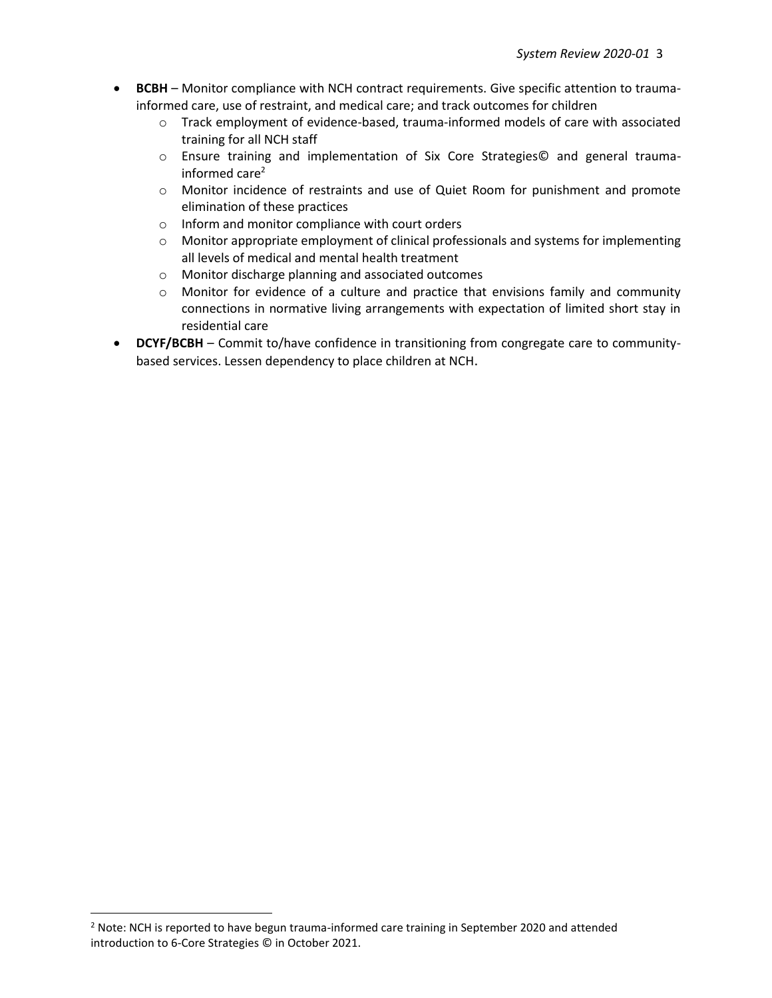- **BCBH** Monitor compliance with NCH contract requirements. Give specific attention to traumainformed care, use of restraint, and medical care; and track outcomes for children
	- $\circ$  Track employment of evidence-based, trauma-informed models of care with associated training for all NCH staff
	- o Ensure training and implementation of Six Core Strategies© and general traumainformed care<sup>2</sup>
	- o Monitor incidence of restraints and use of Quiet Room for punishment and promote elimination of these practices
	- o Inform and monitor compliance with court orders
	- o Monitor appropriate employment of clinical professionals and systems for implementing all levels of medical and mental health treatment
	- o Monitor discharge planning and associated outcomes
	- o Monitor for evidence of a culture and practice that envisions family and community connections in normative living arrangements with expectation of limited short stay in residential care
- **DCYF/BCBH** Commit to/have confidence in transitioning from congregate care to communitybased services. Lessen dependency to place children at NCH.

<sup>&</sup>lt;sup>2</sup> Note: NCH is reported to have begun trauma-informed care training in September 2020 and attended introduction to 6-Core Strategies © in October 2021.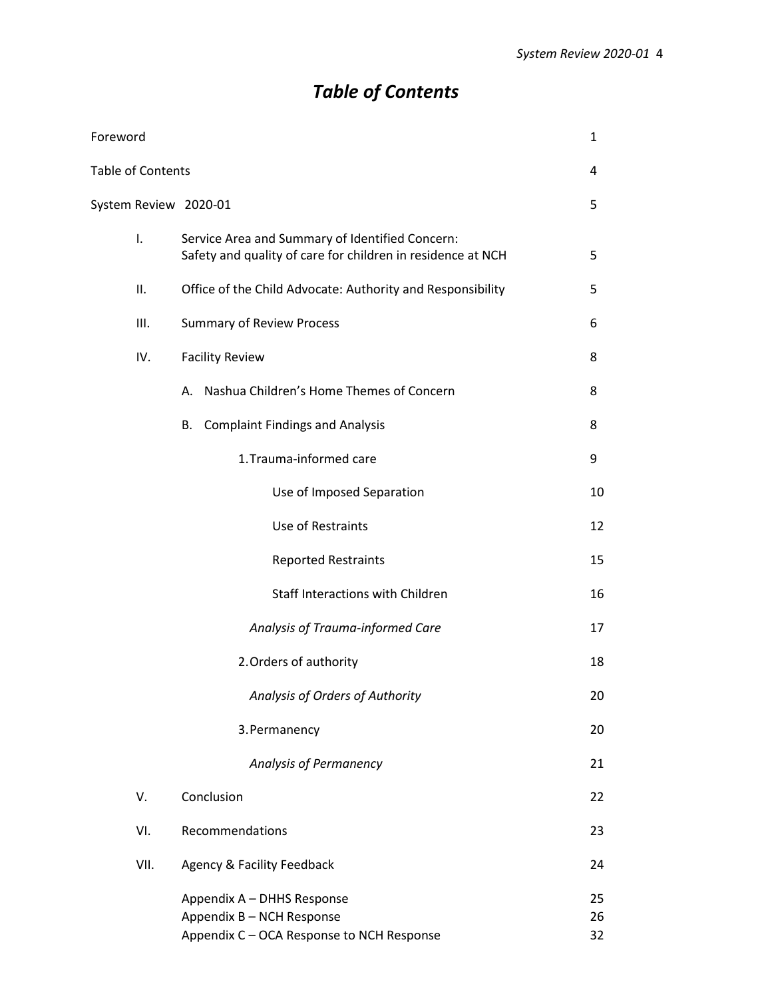# *Table of Contents*

| Foreword              |                                                                                                                | 1              |
|-----------------------|----------------------------------------------------------------------------------------------------------------|----------------|
| Table of Contents     |                                                                                                                | 4              |
| System Review 2020-01 |                                                                                                                | 5              |
| I.                    | Service Area and Summary of Identified Concern:<br>Safety and quality of care for children in residence at NCH | 5              |
| ΙΙ.                   | Office of the Child Advocate: Authority and Responsibility                                                     | 5              |
| III.                  | <b>Summary of Review Process</b>                                                                               | 6              |
| IV.                   | <b>Facility Review</b>                                                                                         | 8              |
|                       | Nashua Children's Home Themes of Concern<br>А.                                                                 | 8              |
|                       | <b>Complaint Findings and Analysis</b><br>В.                                                                   | 8              |
|                       | 1. Trauma-informed care                                                                                        | 9              |
|                       | Use of Imposed Separation                                                                                      | 10             |
|                       | Use of Restraints                                                                                              | 12             |
|                       | <b>Reported Restraints</b>                                                                                     | 15             |
|                       | <b>Staff Interactions with Children</b>                                                                        | 16             |
|                       | Analysis of Trauma-informed Care                                                                               | 17             |
|                       | 2. Orders of authority                                                                                         | 18             |
|                       | Analysis of Orders of Authority                                                                                | 20             |
|                       | 3. Permanency                                                                                                  | 20             |
|                       | Analysis of Permanency                                                                                         | 21             |
| V.                    | Conclusion                                                                                                     | 22             |
| VI.                   | Recommendations                                                                                                | 23             |
| VII.                  | <b>Agency &amp; Facility Feedback</b>                                                                          | 24             |
|                       | Appendix A - DHHS Response<br>Appendix B - NCH Response<br>Appendix C - OCA Response to NCH Response           | 25<br>26<br>32 |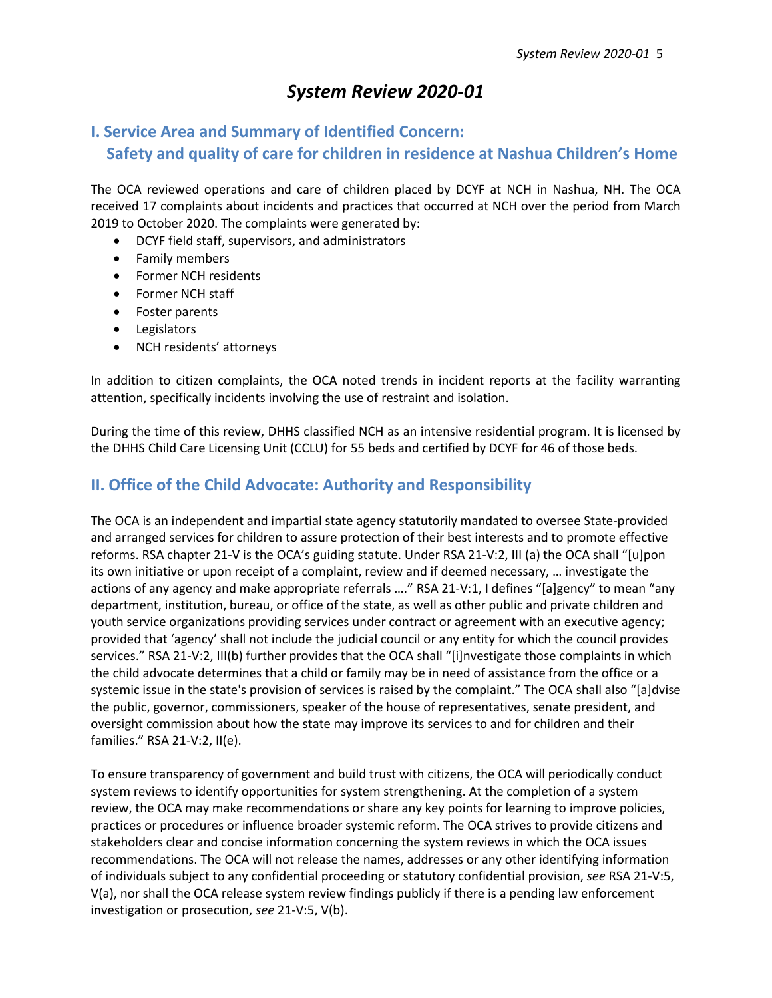## *System Review 2020-01*

## **I. Service Area and Summary of Identified Concern: Safety and quality of care for children in residence at Nashua Children's Home**

The OCA reviewed operations and care of children placed by DCYF at NCH in Nashua, NH. The OCA received 17 complaints about incidents and practices that occurred at NCH over the period from March 2019 to October 2020. The complaints were generated by:

- DCYF field staff, supervisors, and administrators
- Family members
- Former NCH residents
- Former NCH staff
- Foster parents
- Legislators
- NCH residents' attorneys

In addition to citizen complaints, the OCA noted trends in incident reports at the facility warranting attention, specifically incidents involving the use of restraint and isolation.

During the time of this review, DHHS classified NCH as an intensive residential program. It is licensed by the DHHS Child Care Licensing Unit (CCLU) for 55 beds and certified by DCYF for 46 of those beds.

### **II. Office of the Child Advocate: Authority and Responsibility**

The OCA is an independent and impartial state agency statutorily mandated to oversee State-provided and arranged services for children to assure protection of their best interests and to promote effective reforms. RSA chapter 21-V is the OCA's guiding statute. Under RSA 21-V:2, III (a) the OCA shall "[u]pon its own initiative or upon receipt of a complaint, review and if deemed necessary, … investigate the actions of any agency and make appropriate referrals …." RSA 21-V:1, I defines "[a]gency" to mean "any department, institution, bureau, or office of the state, as well as other public and private children and youth service organizations providing services under contract or agreement with an executive agency; provided that 'agency' shall not include the judicial council or any entity for which the council provides services." RSA 21-V:2, III(b) further provides that the OCA shall "[i]nvestigate those complaints in which the child advocate determines that a child or family may be in need of assistance from the office or a systemic issue in the state's provision of services is raised by the complaint." The OCA shall also "[a]dvise the public, governor, commissioners, speaker of the house of representatives, senate president, and oversight commission about how the state may improve its services to and for children and their families." RSA 21-V:2, II(e).

To ensure transparency of government and build trust with citizens, the OCA will periodically conduct system reviews to identify opportunities for system strengthening. At the completion of a system review, the OCA may make recommendations or share any key points for learning to improve policies, practices or procedures or influence broader systemic reform. The OCA strives to provide citizens and stakeholders clear and concise information concerning the system reviews in which the OCA issues recommendations. The OCA will not release the names, addresses or any other identifying information of individuals subject to any confidential proceeding or statutory confidential provision, *see* RSA 21-V:5, V(a), nor shall the OCA release system review findings publicly if there is a pending law enforcement investigation or prosecution, *see* 21-V:5, V(b).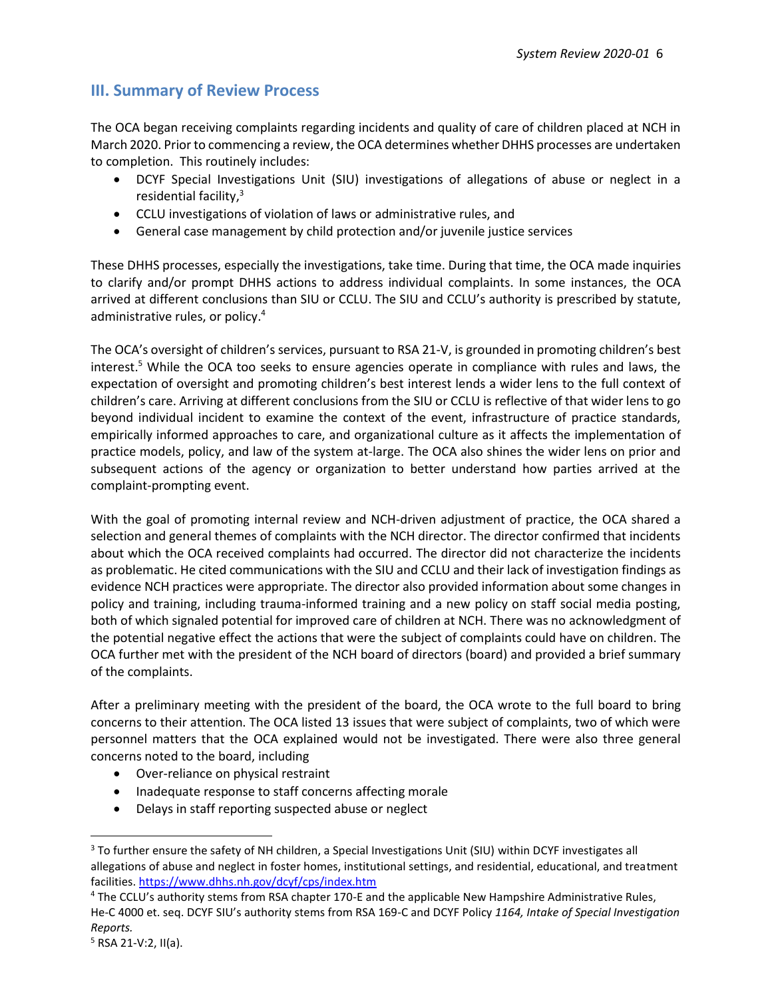## **III. Summary of Review Process**

The OCA began receiving complaints regarding incidents and quality of care of children placed at NCH in March 2020. Prior to commencing a review, the OCA determines whether DHHS processes are undertaken to completion. This routinely includes:

- DCYF Special Investigations Unit (SIU) investigations of allegations of abuse or neglect in a residential facility, $3$
- CCLU investigations of violation of laws or administrative rules, and
- General case management by child protection and/or juvenile justice services

These DHHS processes, especially the investigations, take time. During that time, the OCA made inquiries to clarify and/or prompt DHHS actions to address individual complaints. In some instances, the OCA arrived at different conclusions than SIU or CCLU. The SIU and CCLU's authority is prescribed by statute, administrative rules, or policy. 4

The OCA's oversight of children's services, pursuant to RSA 21-V, is grounded in promoting children's best interest.<sup>5</sup> While the OCA too seeks to ensure agencies operate in compliance with rules and laws, the expectation of oversight and promoting children's best interest lends a wider lens to the full context of children's care. Arriving at different conclusions from the SIU or CCLU is reflective of that wider lens to go beyond individual incident to examine the context of the event, infrastructure of practice standards, empirically informed approaches to care, and organizational culture as it affects the implementation of practice models, policy, and law of the system at-large. The OCA also shines the wider lens on prior and subsequent actions of the agency or organization to better understand how parties arrived at the complaint-prompting event.

With the goal of promoting internal review and NCH-driven adjustment of practice, the OCA shared a selection and general themes of complaints with the NCH director. The director confirmed that incidents about which the OCA received complaints had occurred. The director did not characterize the incidents as problematic. He cited communications with the SIU and CCLU and their lack of investigation findings as evidence NCH practices were appropriate. The director also provided information about some changes in policy and training, including trauma-informed training and a new policy on staff social media posting, both of which signaled potential for improved care of children at NCH. There was no acknowledgment of the potential negative effect the actions that were the subject of complaints could have on children. The OCA further met with the president of the NCH board of directors (board) and provided a brief summary of the complaints.

After a preliminary meeting with the president of the board, the OCA wrote to the full board to bring concerns to their attention. The OCA listed 13 issues that were subject of complaints, two of which were personnel matters that the OCA explained would not be investigated. There were also three general concerns noted to the board, including

- Over-reliance on physical restraint
- Inadequate response to staff concerns affecting morale
- Delays in staff reporting suspected abuse or neglect

<sup>&</sup>lt;sup>3</sup> To further ensure the safety of NH children, a Special Investigations Unit (SIU) within DCYF investigates all allegations of abuse and neglect in foster homes, institutional settings, and residential, educational, and treatment facilities. <https://www.dhhs.nh.gov/dcyf/cps/index.htm>

<sup>4</sup> The CCLU's authority stems from RSA chapter 170-E and the applicable New Hampshire Administrative Rules, He-C 4000 et. seq. DCYF SIU's authority stems from RSA 169-C and DCYF Policy *1164, Intake of Special Investigation Reports.* 

<sup>5</sup> RSA 21-V:2, II(a).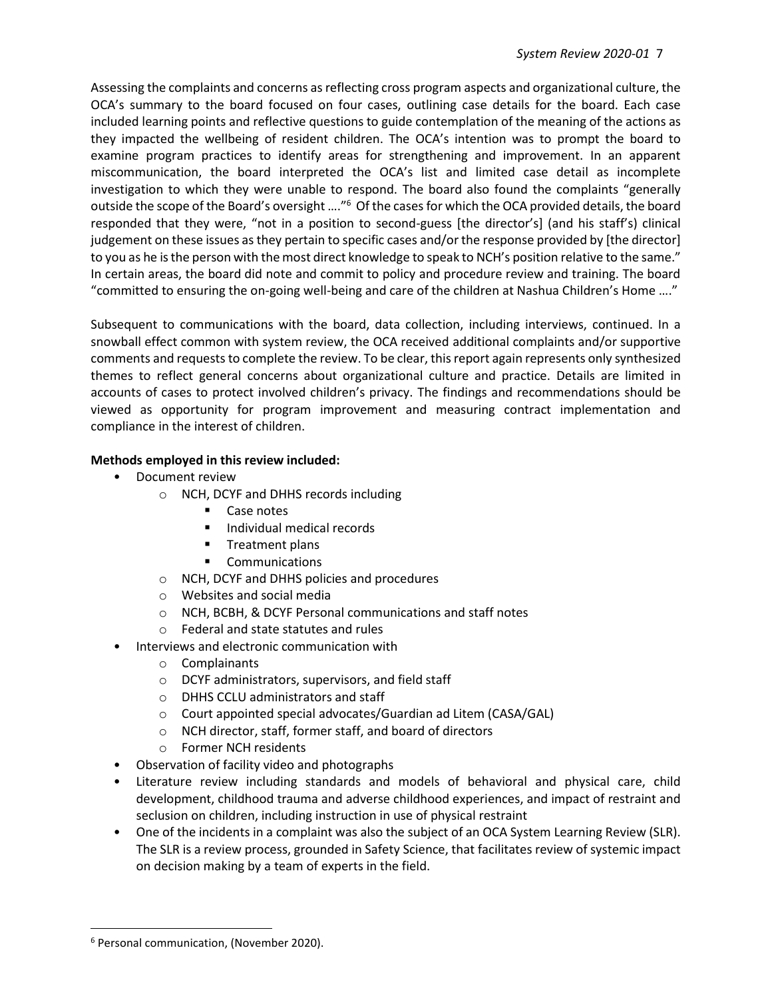Assessing the complaints and concerns as reflecting cross program aspects and organizational culture, the OCA's summary to the board focused on four cases, outlining case details for the board. Each case included learning points and reflective questions to guide contemplation of the meaning of the actions as they impacted the wellbeing of resident children. The OCA's intention was to prompt the board to examine program practices to identify areas for strengthening and improvement. In an apparent miscommunication, the board interpreted the OCA's list and limited case detail as incomplete investigation to which they were unable to respond. The board also found the complaints "generally outside the scope of the Board's oversight ...."<sup>6</sup> Of the cases for which the OCA provided details, the board responded that they were, "not in a position to second-guess [the director's] (and his staff's) clinical judgement on these issues as they pertain to specific cases and/or the response provided by [the director] to you as he is the person with the most direct knowledge to speak to NCH's position relative to the same." In certain areas, the board did note and commit to policy and procedure review and training. The board "committed to ensuring the on-going well-being and care of the children at Nashua Children's Home …."

Subsequent to communications with the board, data collection, including interviews, continued. In a snowball effect common with system review, the OCA received additional complaints and/or supportive comments and requests to complete the review. To be clear, this report again represents only synthesized themes to reflect general concerns about organizational culture and practice. Details are limited in accounts of cases to protect involved children's privacy. The findings and recommendations should be viewed as opportunity for program improvement and measuring contract implementation and compliance in the interest of children.

#### **Methods employed in this review included:**

- Document review
	- o NCH, DCYF and DHHS records including
		- Case notes
		- Individual medical records
		- Treatment plans
		- Communications
	- o NCH, DCYF and DHHS policies and procedures
	- o Websites and social media
	- o NCH, BCBH, & DCYF Personal communications and staff notes
	- o Federal and state statutes and rules
- Interviews and electronic communication with
	- o Complainants
	- o DCYF administrators, supervisors, and field staff
	- o DHHS CCLU administrators and staff
	- o Court appointed special advocates/Guardian ad Litem (CASA/GAL)
	- o NCH director, staff, former staff, and board of directors
	- o Former NCH residents
- Observation of facility video and photographs
- Literature review including standards and models of behavioral and physical care, child development, childhood trauma and adverse childhood experiences, and impact of restraint and seclusion on children, including instruction in use of physical restraint
- One of the incidents in a complaint was also the subject of an OCA System Learning Review (SLR). The SLR is a review process, grounded in Safety Science, that facilitates review of systemic impact on decision making by a team of experts in the field.

<sup>6</sup> Personal communication, (November 2020).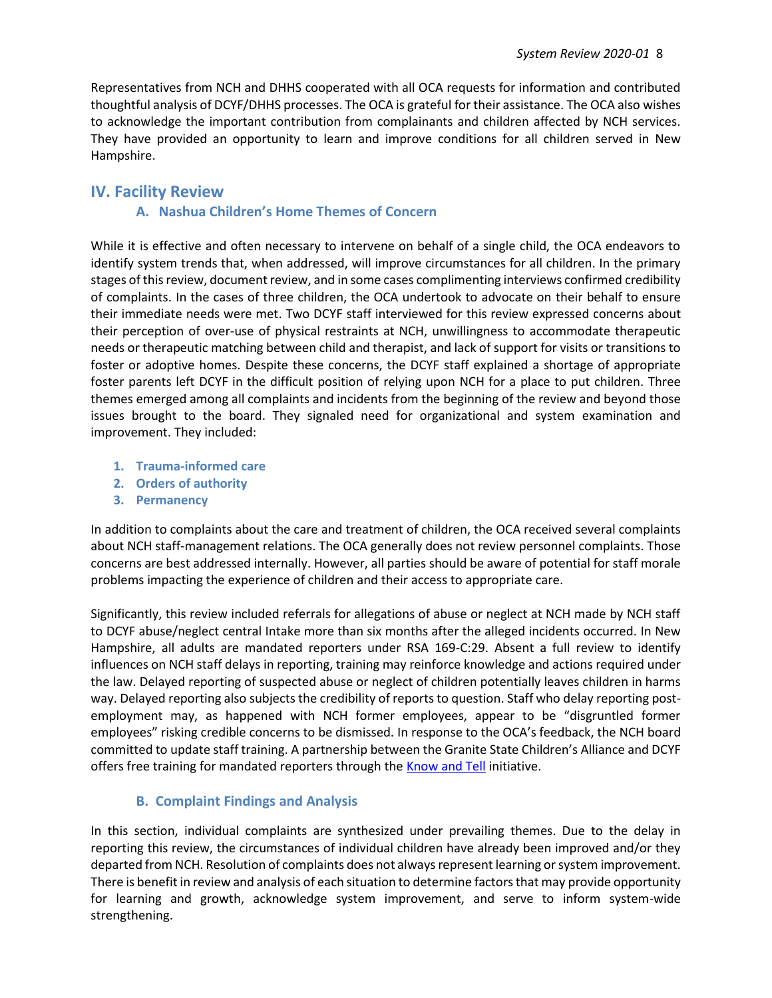Representatives from NCH and DHHS cooperated with all OCA requests for information and contributed thoughtful analysis of DCYF/DHHS processes. The OCA is grateful for their assistance. The OCA also wishes to acknowledge the important contribution from complainants and children affected by NCH services. They have provided an opportunity to learn and improve conditions for all children served in New Hampshire.

### **IV. Facility Review**

#### **A. Nashua Children's Home Themes of Concern**

While it is effective and often necessary to intervene on behalf of a single child, the OCA endeavors to identify system trends that, when addressed, will improve circumstances for all children. In the primary stages of this review, document review, and in some cases complimenting interviews confirmed credibility of complaints. In the cases of three children, the OCA undertook to advocate on their behalf to ensure their immediate needs were met. Two DCYF staff interviewed for this review expressed concerns about their perception of over-use of physical restraints at NCH, unwillingness to accommodate therapeutic needs or therapeutic matching between child and therapist, and lack of support for visits or transitions to foster or adoptive homes. Despite these concerns, the DCYF staff explained a shortage of appropriate foster parents left DCYF in the difficult position of relying upon NCH for a place to put children. Three themes emerged among all complaints and incidents from the beginning of the review and beyond those issues brought to the board. They signaled need for organizational and system examination and improvement. They included:

- **1. Trauma-informed care**
- **2. Orders of authority**
- **3. Permanency**

In addition to complaints about the care and treatment of children, the OCA received several complaints about NCH staff-management relations. The OCA generally does not review personnel complaints. Those concerns are best addressed internally. However, all parties should be aware of potential for staff morale problems impacting the experience of children and their access to appropriate care.

Significantly, this review included referrals for allegations of abuse or neglect at NCH made by NCH staff to DCYF abuse/neglect central Intake more than six months after the alleged incidents occurred. In New Hampshire, all adults are mandated reporters under RSA 169-C:29. Absent a full review to identify influences on NCH staff delays in reporting, training may reinforce knowledge and actions required under the law. Delayed reporting of suspected abuse or neglect of children potentially leaves children in harms way. Delayed reporting also subjects the credibility of reports to question. Staff who delay reporting postemployment may, as happened with NCH former employees, appear to be "disgruntled former employees" risking credible concerns to be dismissed. In response to the OCA's feedback, the NCH board committed to update staff training. A partnership between the Granite State Children's Alliance and DCYF offers free training for mandated reporters through the **Know and Tell** initiative.

#### **B. Complaint Findings and Analysis**

In this section, individual complaints are synthesized under prevailing themes. Due to the delay in reporting this review, the circumstances of individual children have already been improved and/or they departed from NCH. Resolution of complaints does not always represent learning orsystem improvement. There is benefit in review and analysis of each situation to determine factors that may provide opportunity for learning and growth, acknowledge system improvement, and serve to inform system-wide strengthening.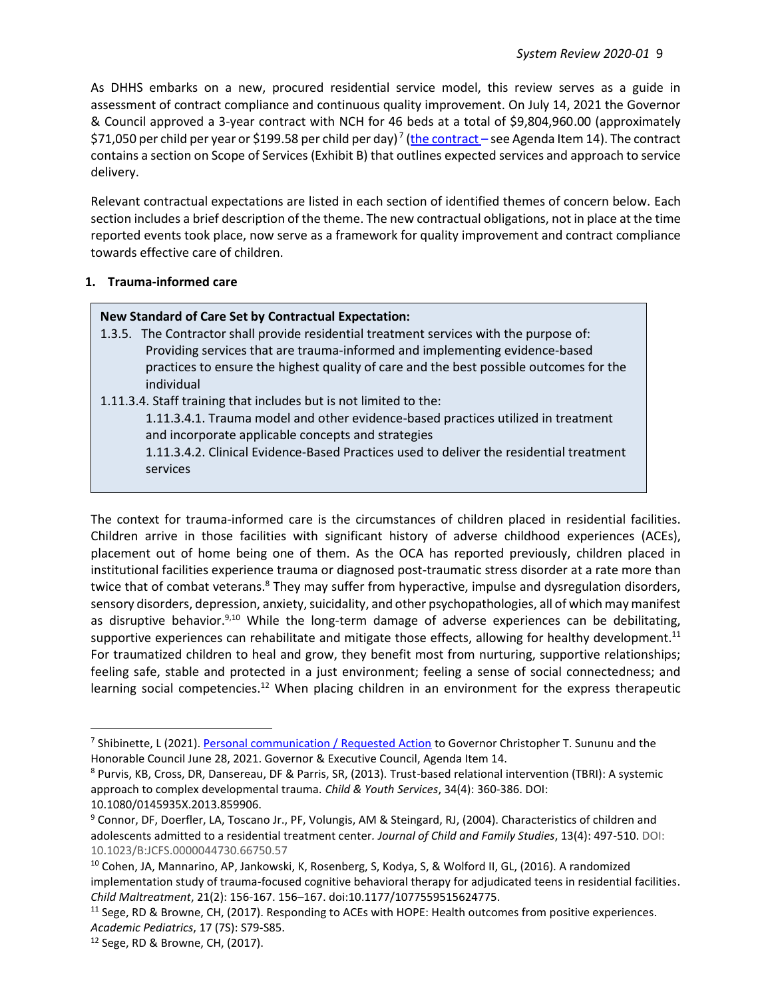As DHHS embarks on a new, procured residential service model, this review serves as a guide in assessment of contract compliance and continuous quality improvement. On July 14, 2021 the Governor & Council approved a 3-year contract with NCH for 46 beds at a total of \$9,804,960.00 (approximately \$71,050 per child per year or \$199.58 per child per day)<sup>7</sup> (<u>the contract</u> – see Agenda Item 14). The contract contains a section on Scope of Services (Exhibit B) that outlines expected services and approach to service delivery.

Relevant contractual expectations are listed in each section of identified themes of concern below. Each section includes a brief description of the theme. The new contractual obligations, not in place at the time reported events took place, now serve as a framework for quality improvement and contract compliance towards effective care of children.

#### **1. Trauma-informed care**

#### **New Standard of Care Set by Contractual Expectation:**

- 1.3.5. The Contractor shall provide residential treatment services with the purpose of: Providing services that are trauma-informed and implementing evidence-based practices to ensure the highest quality of care and the best possible outcomes for the individual
- 1.11.3.4. Staff training that includes but is not limited to the:

1.11.3.4.1. Trauma model and other evidence-based practices utilized in treatment and incorporate applicable concepts and strategies

1.11.3.4.2. Clinical Evidence-Based Practices used to deliver the residential treatment services

The context for trauma-informed care is the circumstances of children placed in residential facilities. Children arrive in those facilities with significant history of adverse childhood experiences (ACEs), placement out of home being one of them. As the OCA has reported previously, children placed in institutional facilities experience trauma or diagnosed post-traumatic stress disorder at a rate more than twice that of combat veterans.<sup>8</sup> They may suffer from hyperactive, impulse and dysregulation disorders, sensory disorders, depression, anxiety, suicidality, and other psychopathologies, all of which may manifest as disruptive behavior.<sup>9,10</sup> While the long-term damage of adverse experiences can be debilitating, supportive experiences can rehabilitate and mitigate those effects, allowing for healthy development.<sup>11</sup> For traumatized children to heal and grow, they benefit most from nurturing, supportive relationships; feeling safe, stable and protected in a just environment; feeling a sense of social connectedness; and learning social competencies.<sup>12</sup> When placing children in an environment for the express therapeutic

<sup>&</sup>lt;sup>7</sup> Shibinette, L (2021)[. Personal communication / Requested Action](https://sos.nh.gov/administration/miscellaneous/governor-executive-council/2021-meetings/july-14-2021/july-14-2021/) to Governor Christopher T. Sununu and the Honorable Council June 28, 2021. Governor & Executive Council, Agenda Item 14.

<sup>8</sup> Purvis, KB, Cross, DR, Dansereau, DF & Parris, SR, (2013). Trust-based relational intervention (TBRI): A systemic approach to complex developmental trauma. *Child & Youth Services*, 34(4): 360-386. DOI:

<sup>10.1080/0145935</sup>X.2013.859906.

<sup>9</sup> Connor, DF, Doerfler, LA, Toscano Jr., PF, Volungis, AM & Steingard, RJ, (2004). Characteristics of children and adolescents admitted to a residential treatment center*. Journal of Child and Family Studies*, 13(4): 497-510. DOI: 10.1023/B:JCFS.0000044730.66750.57

<sup>&</sup>lt;sup>10</sup> Cohen, JA, Mannarino, AP, Jankowski, K, Rosenberg, S, Kodya, S, & Wolford II, GL, (2016). A randomized implementation study of trauma-focused cognitive behavioral therapy for adjudicated teens in residential facilities. *Child Maltreatment*, 21(2): 156-167. 156–167. doi:10.1177/1077559515624775.

<sup>&</sup>lt;sup>11</sup> Sege, RD & Browne, CH, (2017). Responding to ACEs with HOPE: Health outcomes from positive experiences. *Academic Pediatrics*, 17 (7S): S79-S85.

<sup>12</sup> Sege, RD & Browne, CH, (2017).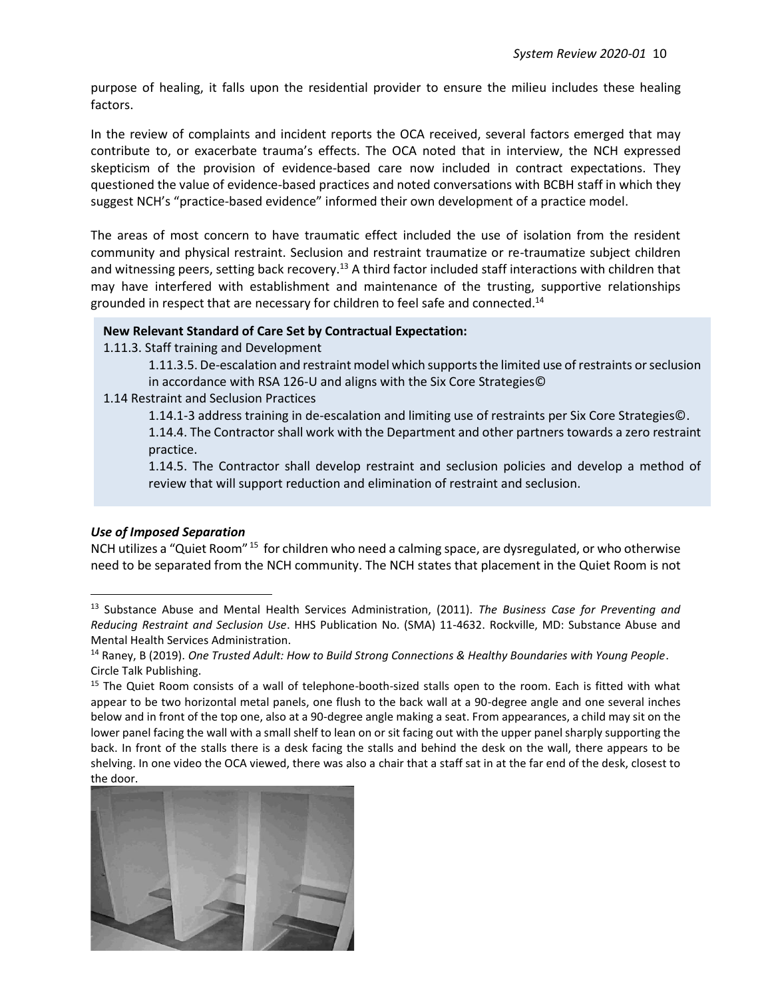purpose of healing, it falls upon the residential provider to ensure the milieu includes these healing factors.

In the review of complaints and incident reports the OCA received, several factors emerged that may contribute to, or exacerbate trauma's effects. The OCA noted that in interview, the NCH expressed skepticism of the provision of evidence-based care now included in contract expectations. They questioned the value of evidence-based practices and noted conversations with BCBH staff in which they suggest NCH's "practice-based evidence" informed their own development of a practice model.

The areas of most concern to have traumatic effect included the use of isolation from the resident community and physical restraint. Seclusion and restraint traumatize or re-traumatize subject children and witnessing peers, setting back recovery.<sup>13</sup> A third factor included staff interactions with children that may have interfered with establishment and maintenance of the trusting, supportive relationships grounded in respect that are necessary for children to feel safe and connected.<sup>14</sup>

#### **New Relevant Standard of Care Set by Contractual Expectation:**

1.11.3. Staff training and Development

1.11.3.5. De-escalation and restraint model which supports the limited use of restraints or seclusion in accordance with RSA 126-U and aligns with the Six Core Strategies©

1.14 Restraint and Seclusion Practices

1.14.1-3 address training in de-escalation and limiting use of restraints per Six Core Strategies©. 1.14.4. The Contractor shall work with the Department and other partners towards a zero restraint practice.

1.14.5. The Contractor shall develop restraint and seclusion policies and develop a method of review that will support reduction and elimination of restraint and seclusion.

#### *Use of Imposed Separation*

NCH utilizes a "Quiet Room" <sup>15</sup> for children who need a calming space, are dysregulated, or who otherwise need to be separated from the NCH community. The NCH states that placement in the Quiet Room is not

<sup>&</sup>lt;sup>15</sup> The Quiet Room consists of a wall of telephone-booth-sized stalls open to the room. Each is fitted with what appear to be two horizontal metal panels, one flush to the back wall at a 90-degree angle and one several inches below and in front of the top one, also at a 90-degree angle making a seat. From appearances, a child may sit on the lower panel facing the wall with a small shelf to lean on or sit facing out with the upper panel sharply supporting the back. In front of the stalls there is a desk facing the stalls and behind the desk on the wall, there appears to be shelving. In one video the OCA viewed, there was also a chair that a staff sat in at the far end of the desk, closest to the door.



<sup>13</sup> Substance Abuse and Mental Health Services Administration, (2011). *The Business Case for Preventing and Reducing Restraint and Seclusion Use*. HHS Publication No. (SMA) 11-4632. Rockville, MD: Substance Abuse and Mental Health Services Administration.

<sup>14</sup> Raney, B (2019). *One Trusted Adult: How to Build Strong Connections & Healthy Boundaries with Young People*. Circle Talk Publishing.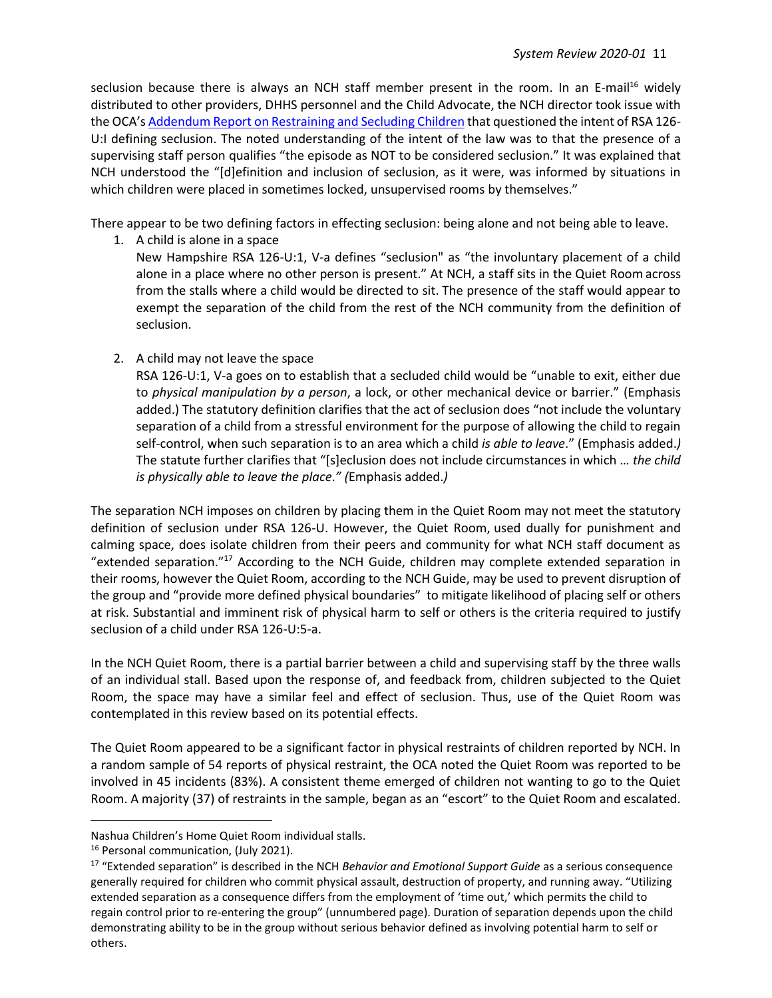seclusion because there is always an NCH staff member present in the room. In an E-mail<sup>16</sup> widely distributed to other providers, DHHS personnel and the Child Advocate, the NCH director took issue with the OCA's Addendum Report [on Restraining and Secluding Children](https://childadvocate.nh.gov/documents/reports/OCA-Rest-Secl-Addendum-2020-FINAL.pdf) that questioned the intent of RSA 126- U:I defining seclusion. The noted understanding of the intent of the law was to that the presence of a supervising staff person qualifies "the episode as NOT to be considered seclusion." It was explained that NCH understood the "[d]efinition and inclusion of seclusion, as it were, was informed by situations in which children were placed in sometimes locked, unsupervised rooms by themselves."

There appear to be two defining factors in effecting seclusion: being alone and not being able to leave.

1. A child is alone in a space

New Hampshire RSA 126-U:1, V-a defines "seclusion" as "the involuntary placement of a child alone in a place where no other person is present." At NCH, a staff sits in the Quiet Room across from the stalls where a child would be directed to sit. The presence of the staff would appear to exempt the separation of the child from the rest of the NCH community from the definition of seclusion.

2. A child may not leave the space

RSA 126-U:1, V-a goes on to establish that a secluded child would be "unable to exit, either due to *physical manipulation by a person*, a lock, or other mechanical device or barrier." (Emphasis added.) The statutory definition clarifies that the act of seclusion does "not include the voluntary separation of a child from a stressful environment for the purpose of allowing the child to regain self-control, when such separation is to an area which a child *is able to leave*." (Emphasis added.*)* The statute further clarifies that "[s]eclusion does not include circumstances in which … *the child is physically able to leave the place*.*" (*Emphasis added.*)*

The separation NCH imposes on children by placing them in the Quiet Room may not meet the statutory definition of seclusion under RSA 126-U. However, the Quiet Room, used dually for punishment and calming space, does isolate children from their peers and community for what NCH staff document as "extended separation."<sup>17</sup> According to the NCH Guide, children may complete extended separation in their rooms, however the Quiet Room, according to the NCH Guide, may be used to prevent disruption of the group and "provide more defined physical boundaries" to mitigate likelihood of placing self or others at risk. Substantial and imminent risk of physical harm to self or others is the criteria required to justify seclusion of a child under RSA 126-U:5-a.

In the NCH Quiet Room, there is a partial barrier between a child and supervising staff by the three walls of an individual stall. Based upon the response of, and feedback from, children subjected to the Quiet Room, the space may have a similar feel and effect of seclusion. Thus, use of the Quiet Room was contemplated in this review based on its potential effects.

The Quiet Room appeared to be a significant factor in physical restraints of children reported by NCH. In a random sample of 54 reports of physical restraint, the OCA noted the Quiet Room was reported to be involved in 45 incidents (83%). A consistent theme emerged of children not wanting to go to the Quiet Room. A majority (37) of restraints in the sample, began as an "escort" to the Quiet Room and escalated.

Nashua Children's Home Quiet Room individual stalls.

<sup>&</sup>lt;sup>16</sup> Personal communication, (July 2021).

<sup>17</sup> "Extended separation" is described in the NCH *Behavior and Emotional Support Guide* as a serious consequence generally required for children who commit physical assault, destruction of property, and running away. "Utilizing extended separation as a consequence differs from the employment of 'time out,' which permits the child to regain control prior to re-entering the group" (unnumbered page). Duration of separation depends upon the child demonstrating ability to be in the group without serious behavior defined as involving potential harm to self or others.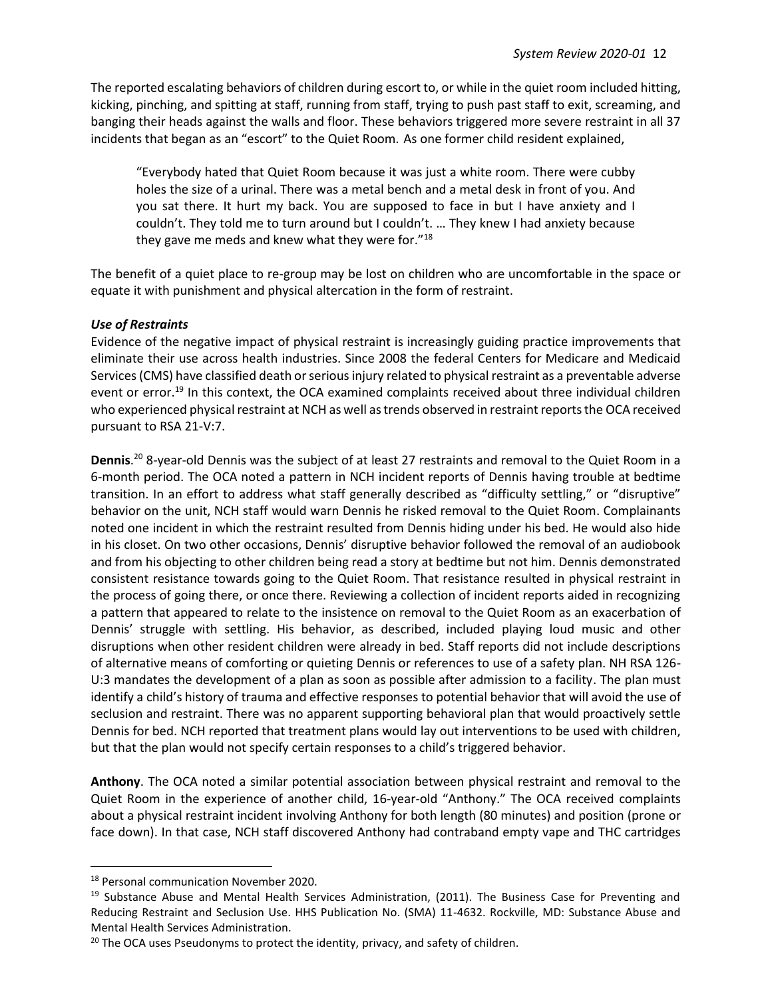The reported escalating behaviors of children during escort to, or while in the quiet room included hitting, kicking, pinching, and spitting at staff, running from staff, trying to push past staff to exit, screaming, and banging their heads against the walls and floor. These behaviors triggered more severe restraint in all 37 incidents that began as an "escort" to the Quiet Room. As one former child resident explained,

"Everybody hated that Quiet Room because it was just a white room. There were cubby holes the size of a urinal. There was a metal bench and a metal desk in front of you. And you sat there. It hurt my back. You are supposed to face in but I have anxiety and I couldn't. They told me to turn around but I couldn't. … They knew I had anxiety because they gave me meds and knew what they were for."<sup>18</sup>

The benefit of a quiet place to re-group may be lost on children who are uncomfortable in the space or equate it with punishment and physical altercation in the form of restraint.

#### *Use of Restraints*

Evidence of the negative impact of physical restraint is increasingly guiding practice improvements that eliminate their use across health industries. Since 2008 the federal Centers for Medicare and Medicaid Services (CMS) have classified death or serious injury related to physical restraint as a preventable adverse event or error.<sup>19</sup> In this context, the OCA examined complaints received about three individual children who experienced physical restraint at NCH as well as trends observed in restraint reports the OCA received pursuant to RSA 21-V:7.

**Dennis**. <sup>20</sup> 8-year-old Dennis was the subject of at least 27 restraints and removal to the Quiet Room in a 6-month period. The OCA noted a pattern in NCH incident reports of Dennis having trouble at bedtime transition. In an effort to address what staff generally described as "difficulty settling," or "disruptive" behavior on the unit, NCH staff would warn Dennis he risked removal to the Quiet Room. Complainants noted one incident in which the restraint resulted from Dennis hiding under his bed. He would also hide in his closet. On two other occasions, Dennis' disruptive behavior followed the removal of an audiobook and from his objecting to other children being read a story at bedtime but not him. Dennis demonstrated consistent resistance towards going to the Quiet Room. That resistance resulted in physical restraint in the process of going there, or once there. Reviewing a collection of incident reports aided in recognizing a pattern that appeared to relate to the insistence on removal to the Quiet Room as an exacerbation of Dennis' struggle with settling. His behavior, as described, included playing loud music and other disruptions when other resident children were already in bed. Staff reports did not include descriptions of alternative means of comforting or quieting Dennis or references to use of a safety plan. NH RSA 126- U:3 mandates the development of a plan as soon as possible after admission to a facility. The plan must identify a child's history of trauma and effective responses to potential behavior that will avoid the use of seclusion and restraint. There was no apparent supporting behavioral plan that would proactively settle Dennis for bed. NCH reported that treatment plans would lay out interventions to be used with children, but that the plan would not specify certain responses to a child's triggered behavior.

**Anthony**. The OCA noted a similar potential association between physical restraint and removal to the Quiet Room in the experience of another child, 16-year-old "Anthony." The OCA received complaints about a physical restraint incident involving Anthony for both length (80 minutes) and position (prone or face down). In that case, NCH staff discovered Anthony had contraband empty vape and THC cartridges

<sup>18</sup> Personal communication November 2020.

<sup>&</sup>lt;sup>19</sup> Substance Abuse and Mental Health Services Administration, (2011). The Business Case for Preventing and Reducing Restraint and Seclusion Use. HHS Publication No. (SMA) 11-4632. Rockville, MD: Substance Abuse and Mental Health Services Administration.

<sup>&</sup>lt;sup>20</sup> The OCA uses Pseudonyms to protect the identity, privacy, and safety of children.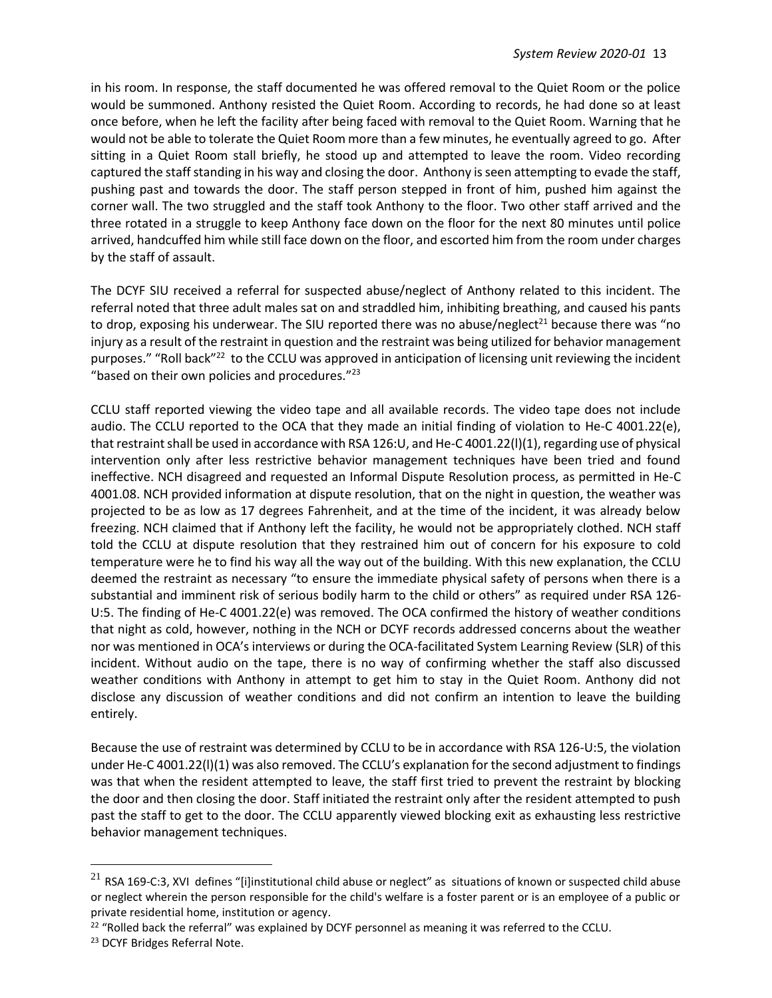in his room. In response, the staff documented he was offered removal to the Quiet Room or the police would be summoned. Anthony resisted the Quiet Room. According to records, he had done so at least once before, when he left the facility after being faced with removal to the Quiet Room. Warning that he would not be able to tolerate the Quiet Room more than a few minutes, he eventually agreed to go. After sitting in a Quiet Room stall briefly, he stood up and attempted to leave the room. Video recording captured the staff standing in his way and closing the door. Anthony is seen attempting to evade the staff, pushing past and towards the door. The staff person stepped in front of him, pushed him against the corner wall. The two struggled and the staff took Anthony to the floor. Two other staff arrived and the three rotated in a struggle to keep Anthony face down on the floor for the next 80 minutes until police arrived, handcuffed him while still face down on the floor, and escorted him from the room under charges by the staff of assault.

The DCYF SIU received a referral for suspected abuse/neglect of Anthony related to this incident. The referral noted that three adult males sat on and straddled him, inhibiting breathing, and caused his pants to drop, exposing his underwear. The SIU reported there was no abuse/neglect<sup>21</sup> because there was "no injury as a result of the restraint in question and the restraint was being utilized for behavior management purposes." "Roll back"<sup>22</sup> to the CCLU was approved in anticipation of licensing unit reviewing the incident "based on their own policies and procedures."<sup>23</sup>

CCLU staff reported viewing the video tape and all available records. The video tape does not include audio. The CCLU reported to the OCA that they made an initial finding of violation to He-C 4001.22(e), that restraint shall be used in accordance with RSA 126:U, and He-C 4001.22(l)(1), regarding use of physical intervention only after less restrictive behavior management techniques have been tried and found ineffective. NCH disagreed and requested an Informal Dispute Resolution process, as permitted in He-C 4001.08. NCH provided information at dispute resolution, that on the night in question, the weather was projected to be as low as 17 degrees Fahrenheit, and at the time of the incident, it was already below freezing. NCH claimed that if Anthony left the facility, he would not be appropriately clothed. NCH staff told the CCLU at dispute resolution that they restrained him out of concern for his exposure to cold temperature were he to find his way all the way out of the building. With this new explanation, the CCLU deemed the restraint as necessary "to ensure the immediate physical safety of persons when there is a substantial and imminent risk of serious bodily harm to the child or others" as required under RSA 126- U:5. The finding of He-C 4001.22(e) was removed. The OCA confirmed the history of weather conditions that night as cold, however, nothing in the NCH or DCYF records addressed concerns about the weather nor was mentioned in OCA's interviews or during the OCA-facilitated System Learning Review (SLR) of this incident. Without audio on the tape, there is no way of confirming whether the staff also discussed weather conditions with Anthony in attempt to get him to stay in the Quiet Room. Anthony did not disclose any discussion of weather conditions and did not confirm an intention to leave the building entirely.

Because the use of restraint was determined by CCLU to be in accordance with RSA 126-U:5, the violation under He-C 4001.22(l)(1) was also removed. The CCLU's explanation for the second adjustment to findings was that when the resident attempted to leave, the staff first tried to prevent the restraint by blocking the door and then closing the door. Staff initiated the restraint only after the resident attempted to push past the staff to get to the door. The CCLU apparently viewed blocking exit as exhausting less restrictive behavior management techniques.

 $21$  RSA 169-C:3, XVI defines "[i]institutional child abuse or neglect" as situations of known or suspected child abuse or neglect wherein the person responsible for the child's welfare is a foster parent or is an employee of a public or private residential home, institution or agency.

<sup>&</sup>lt;sup>22</sup> "Rolled back the referral" was explained by DCYF personnel as meaning it was referred to the CCLU.

<sup>&</sup>lt;sup>23</sup> DCYF Bridges Referral Note.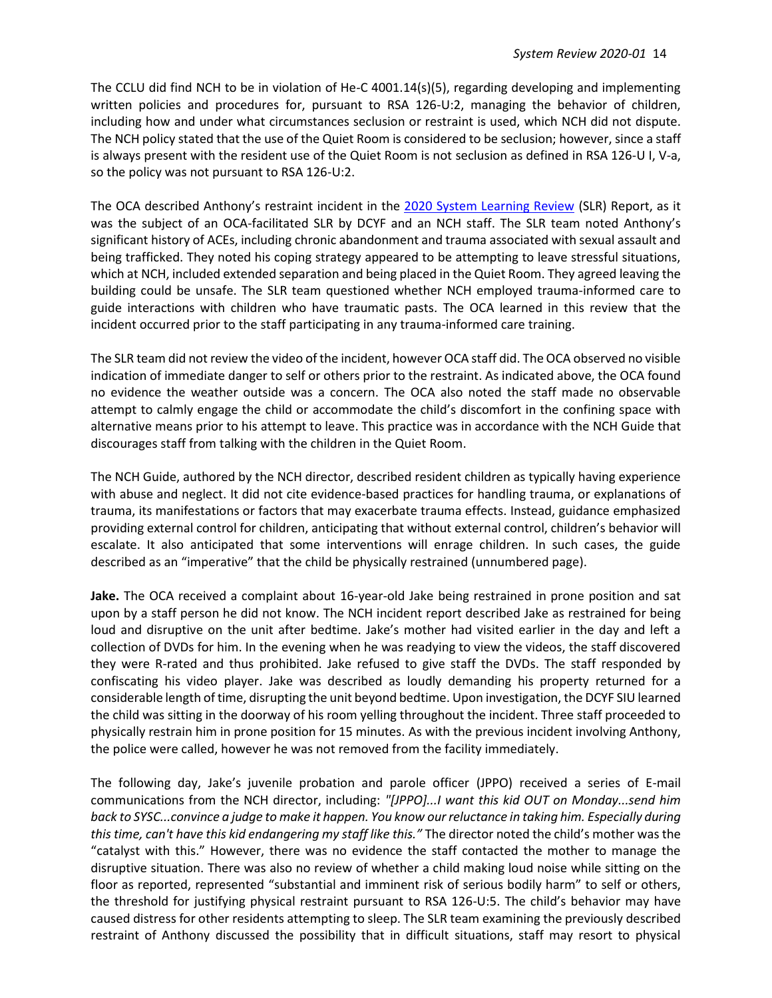The CCLU did find NCH to be in violation of He-C 4001.14(s)(5), regarding developing and implementing written policies and procedures for, pursuant to RSA 126-U:2, managing the behavior of children, including how and under what circumstances seclusion or restraint is used, which NCH did not dispute. The NCH policy stated that the use of the Quiet Room is considered to be seclusion; however, since a staff is always present with the resident use of the Quiet Room is not seclusion as defined in RSA 126-U I, V-a, so the policy was not pursuant to RSA 126-U:2.

The OCA described Anthony's restraint incident in the [2020 System Learning Review](https://childadvocate.nh.gov/documents/reports/OCA-2020-SLR-Summary-Report.pdf) (SLR) Report, as it was the subject of an OCA-facilitated SLR by DCYF and an NCH staff. The SLR team noted Anthony's significant history of ACEs, including chronic abandonment and trauma associated with sexual assault and being trafficked. They noted his coping strategy appeared to be attempting to leave stressful situations, which at NCH, included extended separation and being placed in the Quiet Room. They agreed leaving the building could be unsafe. The SLR team questioned whether NCH employed trauma-informed care to guide interactions with children who have traumatic pasts. The OCA learned in this review that the incident occurred prior to the staff participating in any trauma-informed care training.

The SLR team did not review the video of the incident, however OCA staff did. The OCA observed no visible indication of immediate danger to self or others prior to the restraint. As indicated above, the OCA found no evidence the weather outside was a concern. The OCA also noted the staff made no observable attempt to calmly engage the child or accommodate the child's discomfort in the confining space with alternative means prior to his attempt to leave. This practice was in accordance with the NCH Guide that discourages staff from talking with the children in the Quiet Room.

The NCH Guide, authored by the NCH director, described resident children as typically having experience with abuse and neglect. It did not cite evidence-based practices for handling trauma, or explanations of trauma, its manifestations or factors that may exacerbate trauma effects. Instead, guidance emphasized providing external control for children, anticipating that without external control, children's behavior will escalate. It also anticipated that some interventions will enrage children. In such cases, the guide described as an "imperative" that the child be physically restrained (unnumbered page).

**Jake.** The OCA received a complaint about 16-year-old Jake being restrained in prone position and sat upon by a staff person he did not know. The NCH incident report described Jake as restrained for being loud and disruptive on the unit after bedtime. Jake's mother had visited earlier in the day and left a collection of DVDs for him. In the evening when he was readying to view the videos, the staff discovered they were R-rated and thus prohibited. Jake refused to give staff the DVDs. The staff responded by confiscating his video player. Jake was described as loudly demanding his property returned for a considerable length of time, disrupting the unit beyond bedtime. Upon investigation, the DCYF SIU learned the child was sitting in the doorway of his room yelling throughout the incident. Three staff proceeded to physically restrain him in prone position for 15 minutes. As with the previous incident involving Anthony, the police were called, however he was not removed from the facility immediately.

The following day, Jake's juvenile probation and parole officer (JPPO) received a series of E-mail communications from the NCH director, including: *"[JPPO]...I want this kid OUT on Monday...send him*  back to SYSC...convince a judge to make it happen. You know our reluctance in taking him. Especially during *this time, can't have this kid endangering my staff like this."* The director noted the child's mother was the "catalyst with this." However, there was no evidence the staff contacted the mother to manage the disruptive situation. There was also no review of whether a child making loud noise while sitting on the floor as reported, represented "substantial and imminent risk of serious bodily harm" to self or others, the threshold for justifying physical restraint pursuant to RSA 126-U:5. The child's behavior may have caused distress for other residents attempting to sleep. The SLR team examining the previously described restraint of Anthony discussed the possibility that in difficult situations, staff may resort to physical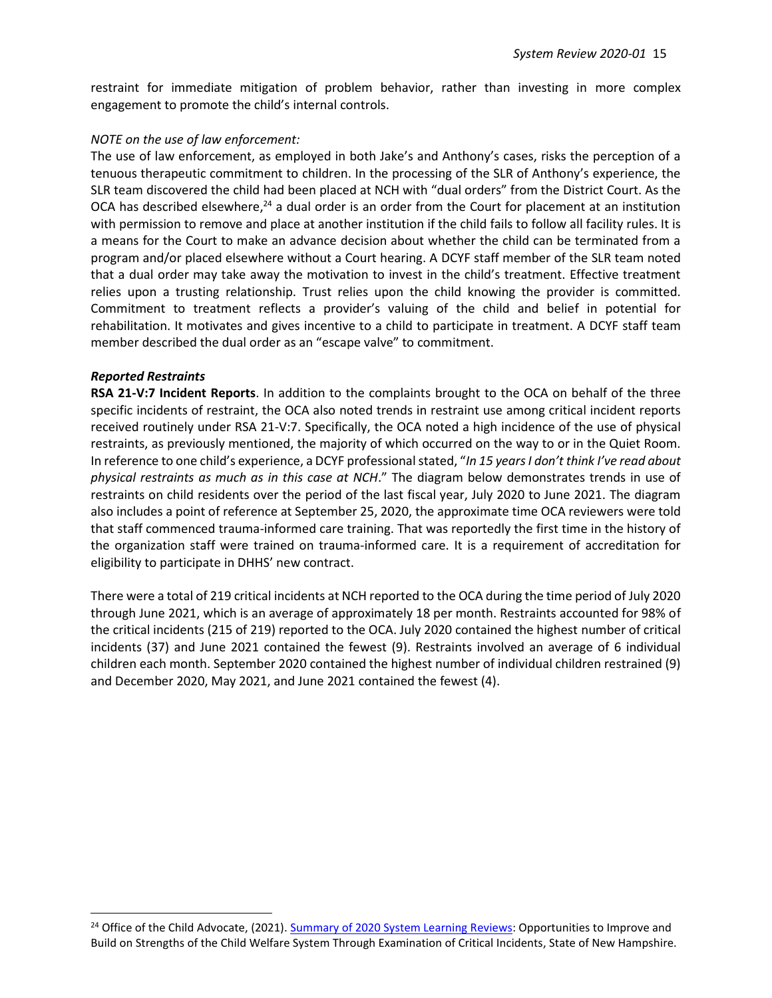restraint for immediate mitigation of problem behavior, rather than investing in more complex engagement to promote the child's internal controls.

#### *NOTE on the use of law enforcement:*

The use of law enforcement, as employed in both Jake's and Anthony's cases, risks the perception of a tenuous therapeutic commitment to children. In the processing of the SLR of Anthony's experience, the SLR team discovered the child had been placed at NCH with "dual orders" from the District Court. As the OCA has described elsewhere,<sup>24</sup> a dual order is an order from the Court for placement at an institution with permission to remove and place at another institution if the child fails to follow all facility rules. It is a means for the Court to make an advance decision about whether the child can be terminated from a program and/or placed elsewhere without a Court hearing. A DCYF staff member of the SLR team noted that a dual order may take away the motivation to invest in the child's treatment. Effective treatment relies upon a trusting relationship. Trust relies upon the child knowing the provider is committed. Commitment to treatment reflects a provider's valuing of the child and belief in potential for rehabilitation. It motivates and gives incentive to a child to participate in treatment. A DCYF staff team member described the dual order as an "escape valve" to commitment.

#### *Reported Restraints*

**RSA 21-V:7 Incident Reports**. In addition to the complaints brought to the OCA on behalf of the three specific incidents of restraint, the OCA also noted trends in restraint use among critical incident reports received routinely under RSA 21-V:7. Specifically, the OCA noted a high incidence of the use of physical restraints, as previously mentioned, the majority of which occurred on the way to or in the Quiet Room. In reference to one child's experience, a DCYF professional stated, "*In 15 years I don't think I've read about physical restraints as much as in this case at NCH*." The diagram below demonstrates trends in use of restraints on child residents over the period of the last fiscal year, July 2020 to June 2021. The diagram also includes a point of reference at September 25, 2020, the approximate time OCA reviewers were told that staff commenced trauma-informed care training. That was reportedly the first time in the history of the organization staff were trained on trauma-informed care. It is a requirement of accreditation for eligibility to participate in DHHS' new contract.

There were a total of 219 critical incidents at NCH reported to the OCA during the time period of July 2020 through June 2021, which is an average of approximately 18 per month. Restraints accounted for 98% of the critical incidents (215 of 219) reported to the OCA. July 2020 contained the highest number of critical incidents (37) and June 2021 contained the fewest (9). Restraints involved an average of 6 individual children each month. September 2020 contained the highest number of individual children restrained (9) and December 2020, May 2021, and June 2021 contained the fewest (4).

<sup>&</sup>lt;sup>24</sup> Office of the Child Advocate, (2021). [Summary of 2020 System Learning Reviews:](https://childadvocate.nh.gov/documents/reports/OCA-2020-SLR-Summary-Report.pdf) Opportunities to Improve and Build on Strengths of the Child Welfare System Through Examination of Critical Incidents, State of New Hampshire.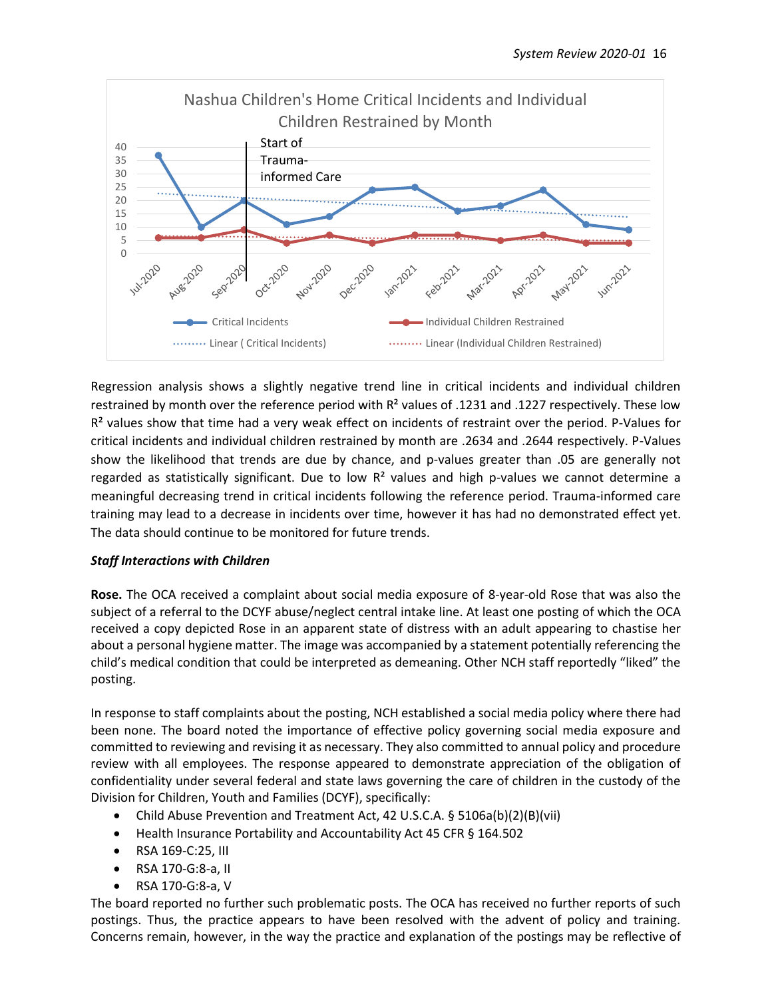

Regression analysis shows a slightly negative trend line in critical incidents and individual children restrained by month over the reference period with R<sup>2</sup> values of .1231 and .1227 respectively. These low  $R<sup>2</sup>$  values show that time had a very weak effect on incidents of restraint over the period. P-Values for critical incidents and individual children restrained by month are .2634 and .2644 respectively. P-Values show the likelihood that trends are due by chance, and p-values greater than .05 are generally not regarded as statistically significant. Due to low  $R<sup>2</sup>$  values and high p-values we cannot determine a meaningful decreasing trend in critical incidents following the reference period. Trauma-informed care training may lead to a decrease in incidents over time, however it has had no demonstrated effect yet. The data should continue to be monitored for future trends.

#### *Staff Interactions with Children*

**Rose.** The OCA received a complaint about social media exposure of 8-year-old Rose that was also the subject of a referral to the DCYF abuse/neglect central intake line. At least one posting of which the OCA received a copy depicted Rose in an apparent state of distress with an adult appearing to chastise her about a personal hygiene matter. The image was accompanied by a statement potentially referencing the child's medical condition that could be interpreted as demeaning. Other NCH staff reportedly "liked" the posting.

In response to staff complaints about the posting, NCH established a social media policy where there had been none. The board noted the importance of effective policy governing social media exposure and committed to reviewing and revising it as necessary. They also committed to annual policy and procedure review with all employees. The response appeared to demonstrate appreciation of the obligation of confidentiality under several federal and state laws governing the care of children in the custody of the Division for Children, Youth and Families (DCYF), specifically:

- Child Abuse Prevention and Treatment Act, 42 U.S.C.A. § 5106a(b)(2)(B)(vii)
- Health Insurance Portability and Accountability Act 45 CFR § 164.502
- RSA 169-C:25, III
- RSA 170-G:8-a, II
- RSA 170-G:8-a, V

The board reported no further such problematic posts. The OCA has received no further reports of such postings. Thus, the practice appears to have been resolved with the advent of policy and training. Concerns remain, however, in the way the practice and explanation of the postings may be reflective of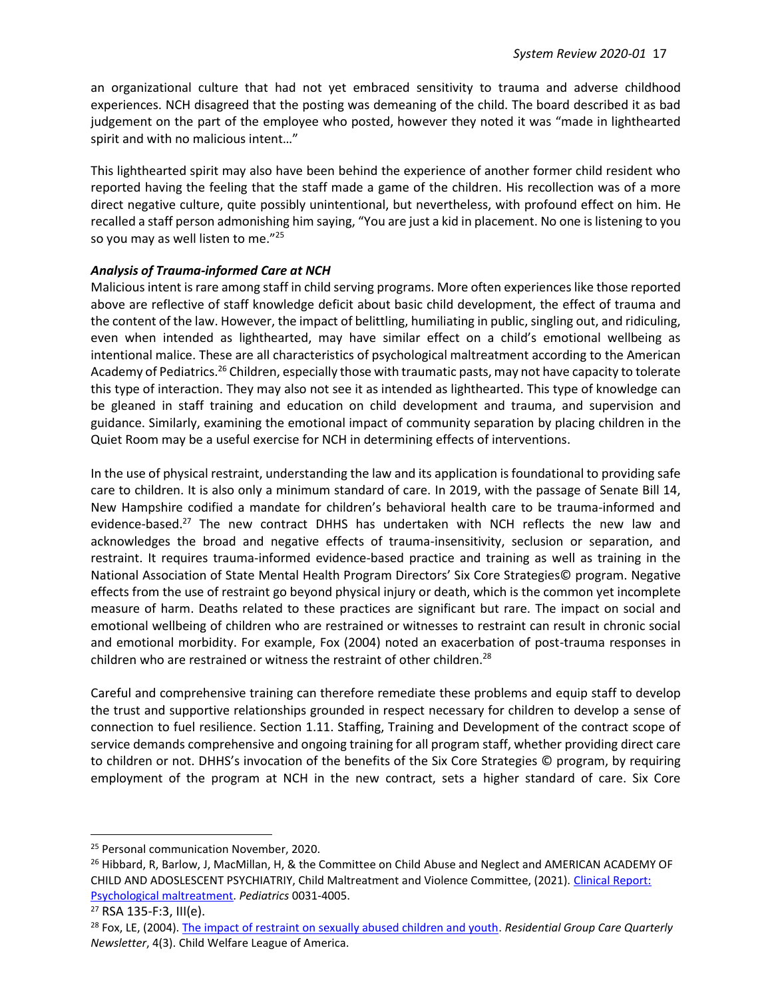an organizational culture that had not yet embraced sensitivity to trauma and adverse childhood experiences. NCH disagreed that the posting was demeaning of the child. The board described it as bad judgement on the part of the employee who posted, however they noted it was "made in lighthearted spirit and with no malicious intent…"

This lighthearted spirit may also have been behind the experience of another former child resident who reported having the feeling that the staff made a game of the children. His recollection was of a more direct negative culture, quite possibly unintentional, but nevertheless, with profound effect on him. He recalled a staff person admonishing him saying, "You are just a kid in placement. No one is listening to you so you may as well listen to me."25

#### *Analysis of Trauma-informed Care at NCH*

Malicious intent is rare among staff in child serving programs. More often experiences like those reported above are reflective of staff knowledge deficit about basic child development, the effect of trauma and the content of the law. However, the impact of belittling, humiliating in public, singling out, and ridiculing, even when intended as lighthearted, may have similar effect on a child's emotional wellbeing as intentional malice. These are all characteristics of psychological maltreatment according to the American Academy of Pediatrics.<sup>26</sup> Children, especially those with traumatic pasts, may not have capacity to tolerate this type of interaction. They may also not see it as intended as lighthearted. This type of knowledge can be gleaned in staff training and education on child development and trauma, and supervision and guidance. Similarly, examining the emotional impact of community separation by placing children in the Quiet Room may be a useful exercise for NCH in determining effects of interventions.

In the use of physical restraint, understanding the law and its application is foundational to providing safe care to children. It is also only a minimum standard of care. In 2019, with the passage of Senate Bill 14, New Hampshire codified a mandate for children's behavioral health care to be trauma-informed and evidence-based.<sup>27</sup> The new contract DHHS has undertaken with NCH reflects the new law and acknowledges the broad and negative effects of trauma-insensitivity, seclusion or separation, and restraint. It requires trauma-informed evidence-based practice and training as well as training in the National Association of State Mental Health Program Directors' Six Core Strategies© program. Negative effects from the use of restraint go beyond physical injury or death, which is the common yet incomplete measure of harm. Deaths related to these practices are significant but rare. The impact on social and emotional wellbeing of children who are restrained or witnesses to restraint can result in chronic social and emotional morbidity. For example, Fox (2004) noted an exacerbation of post-trauma responses in children who are restrained or witness the restraint of other children.<sup>28</sup>

Careful and comprehensive training can therefore remediate these problems and equip staff to develop the trust and supportive relationships grounded in respect necessary for children to develop a sense of connection to fuel resilience. Section 1.11. Staffing, Training and Development of the contract scope of service demands comprehensive and ongoing training for all program staff, whether providing direct care to children or not. DHHS's invocation of the benefits of the Six Core Strategies © program, by requiring employment of the program at NCH in the new contract, sets a higher standard of care. Six Core

<sup>&</sup>lt;sup>25</sup> Personal communication November, 2020.

<sup>&</sup>lt;sup>26</sup> Hibbard, R, Barlow, J, MacMillan, H, & the Committee on Child Abuse and Neglect and AMERICAN ACADEMY OF CHILD AND ADOSLESCENT PSYCHIATRIY, Child Maltreatment and Violence Committee, (2021). [Clinical Report:](https://pediatrics.aappublications.org/content/pediatrics/130/2/372.full.pdf)  [Psychological maltreatment.](https://pediatrics.aappublications.org/content/pediatrics/130/2/372.full.pdf) *Pediatrics* 0031-4005.

<sup>27</sup> RSA 135-F:3, III(e).

<sup>28</sup> Fox, LE, (2004). [The impact of restraint on sexually abused children and youth.](http://citeseerx.ist.psu.edu/viewdoc/download?doi=10.1.1.625.3790&rep=rep1&type=pdf) *Residential Group Care Quarterly Newsletter*, 4(3). Child Welfare League of America.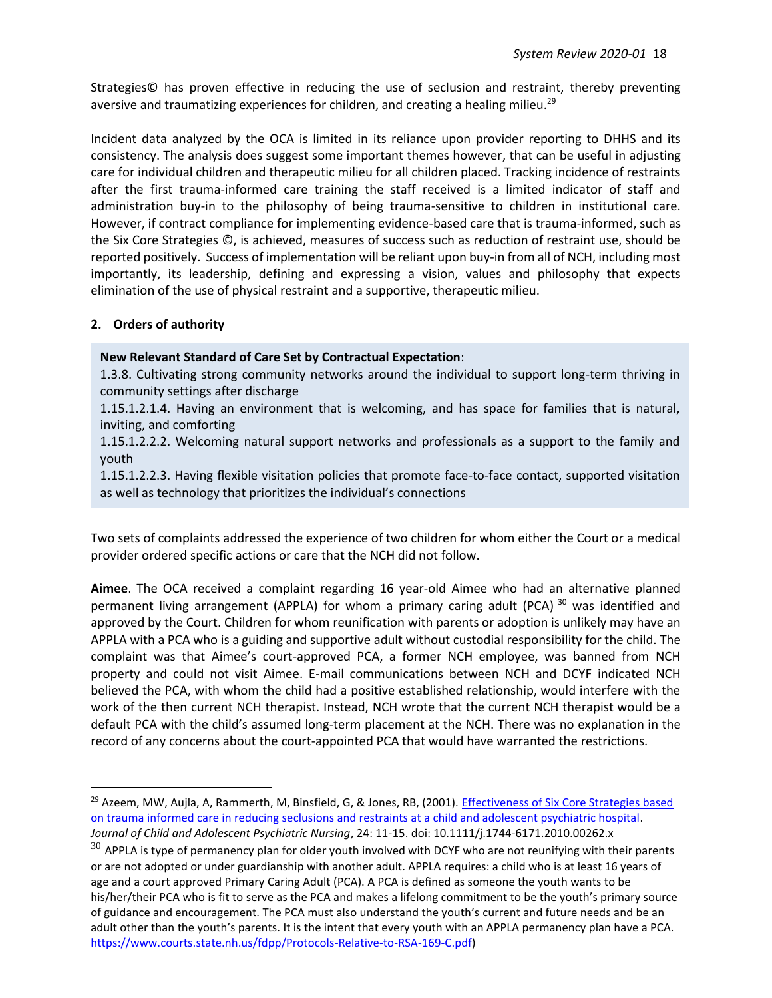Strategies© has proven effective in reducing the use of seclusion and restraint, thereby preventing aversive and traumatizing experiences for children, and creating a healing milieu.<sup>29</sup>

Incident data analyzed by the OCA is limited in its reliance upon provider reporting to DHHS and its consistency. The analysis does suggest some important themes however, that can be useful in adjusting care for individual children and therapeutic milieu for all children placed. Tracking incidence of restraints after the first trauma-informed care training the staff received is a limited indicator of staff and administration buy-in to the philosophy of being trauma-sensitive to children in institutional care. However, if contract compliance for implementing evidence-based care that is trauma-informed, such as the Six Core Strategies ©, is achieved, measures of success such as reduction of restraint use, should be reported positively. Success of implementation will be reliant upon buy-in from all of NCH, including most importantly, its leadership, defining and expressing a vision, values and philosophy that expects elimination of the use of physical restraint and a supportive, therapeutic milieu.

#### **2. Orders of authority**

**New Relevant Standard of Care Set by Contractual Expectation**:

1.3.8. Cultivating strong community networks around the individual to support long-term thriving in community settings after discharge

1.15.1.2.1.4. Having an environment that is welcoming, and has space for families that is natural, inviting, and comforting

1.15.1.2.2.2. Welcoming natural support networks and professionals as a support to the family and youth

1.15.1.2.2.3. Having flexible visitation policies that promote face-to-face contact, supported visitation as well as technology that prioritizes the individual's connections

Two sets of complaints addressed the experience of two children for whom either the Court or a medical provider ordered specific actions or care that the NCH did not follow.

**Aimee**. The OCA received a complaint regarding 16 year-old Aimee who had an alternative planned permanent living arrangement (APPLA) for whom a primary caring adult (PCA)  $30$  was identified and approved by the Court. Children for whom reunification with parents or adoption is unlikely may have an APPLA with a PCA who is a guiding and supportive adult without custodial responsibility for the child. The complaint was that Aimee's court-approved PCA, a former NCH employee, was banned from NCH property and could not visit Aimee. E-mail communications between NCH and DCYF indicated NCH believed the PCA, with whom the child had a positive established relationship, would interfere with the work of the then current NCH therapist. Instead, NCH wrote that the current NCH therapist would be a default PCA with the child's assumed long-term placement at the NCH. There was no explanation in the record of any concerns about the court-appointed PCA that would have warranted the restrictions.

<sup>&</sup>lt;sup>29</sup> Azeem, MW, Aujla, A, Rammerth, M, Binsfield, G, & Jones, RB, (2001). *Effectiveness of Six Core Strategies based* [on trauma informed care in reducing seclusions and restraints at a child and adolescent psychiatric hospital.](https://www.ctclearinghouse.org/Customer-Content/www/topics/1614-ART_Azeem-et-al-SR-w-6CS-2011.pdf) *Journal of Child and Adolescent Psychiatric Nursing*, 24: 11-15. doi: 10.1111/j.1744-6171.2010.00262.x

 $30$  APPLA is type of permanency plan for older youth involved with DCYF who are not reunifying with their parents or are not adopted or under guardianship with another adult. APPLA requires: a child who is at least 16 years of age and a court approved Primary Caring Adult (PCA). A PCA is defined as someone the youth wants to be his/her/their PCA who is fit to serve as the PCA and makes a lifelong commitment to be the youth's primary source of guidance and encouragement. The PCA must also understand the youth's current and future needs and be an adult other than the youth's parents. It is the intent that every youth with an APPLA permanency plan have a PCA. [https://www.courts.state.nh.us/fdpp/Protocols-Relative-to-RSA-169-C.pdf\)](https://www.courts.state.nh.us/fdpp/Protocols-Relative-to-RSA-169-C.pdf)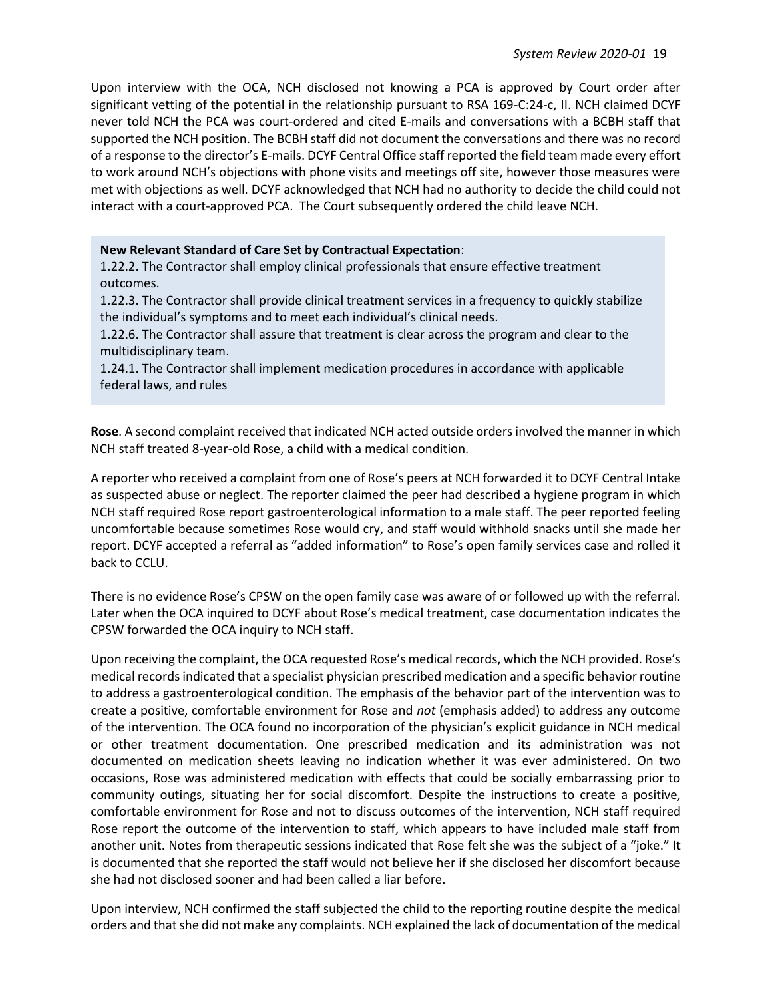Upon interview with the OCA, NCH disclosed not knowing a PCA is approved by Court order after significant vetting of the potential in the relationship pursuant to RSA 169-C:24-c, II. NCH claimed DCYF never told NCH the PCA was court-ordered and cited E-mails and conversations with a BCBH staff that supported the NCH position. The BCBH staff did not document the conversations and there was no record of a response to the director's E-mails. DCYF Central Office staff reported the field team made every effort to work around NCH's objections with phone visits and meetings off site, however those measures were met with objections as well. DCYF acknowledged that NCH had no authority to decide the child could not interact with a court-approved PCA. The Court subsequently ordered the child leave NCH.

#### **New Relevant Standard of Care Set by Contractual Expectation**:

1.22.2. The Contractor shall employ clinical professionals that ensure effective treatment outcomes.

1.22.3. The Contractor shall provide clinical treatment services in a frequency to quickly stabilize the individual's symptoms and to meet each individual's clinical needs.

1.22.6. The Contractor shall assure that treatment is clear across the program and clear to the multidisciplinary team.

1.24.1. The Contractor shall implement medication procedures in accordance with applicable federal laws, and rules

**Rose**. A second complaint received that indicated NCH acted outside orders involved the manner in which NCH staff treated 8-year-old Rose, a child with a medical condition.

A reporter who received a complaint from one of Rose's peers at NCH forwarded it to DCYF Central Intake as suspected abuse or neglect. The reporter claimed the peer had described a hygiene program in which NCH staff required Rose report gastroenterological information to a male staff. The peer reported feeling uncomfortable because sometimes Rose would cry, and staff would withhold snacks until she made her report. DCYF accepted a referral as "added information" to Rose's open family services case and rolled it back to CCLU.

There is no evidence Rose's CPSW on the open family case was aware of or followed up with the referral. Later when the OCA inquired to DCYF about Rose's medical treatment, case documentation indicates the CPSW forwarded the OCA inquiry to NCH staff.

Upon receiving the complaint, the OCA requested Rose's medical records, which the NCH provided. Rose's medical records indicated that a specialist physician prescribed medication and a specific behavior routine to address a gastroenterological condition. The emphasis of the behavior part of the intervention was to create a positive, comfortable environment for Rose and *not* (emphasis added) to address any outcome of the intervention. The OCA found no incorporation of the physician's explicit guidance in NCH medical or other treatment documentation. One prescribed medication and its administration was not documented on medication sheets leaving no indication whether it was ever administered. On two occasions, Rose was administered medication with effects that could be socially embarrassing prior to community outings, situating her for social discomfort. Despite the instructions to create a positive, comfortable environment for Rose and not to discuss outcomes of the intervention, NCH staff required Rose report the outcome of the intervention to staff, which appears to have included male staff from another unit. Notes from therapeutic sessions indicated that Rose felt she was the subject of a "joke." It is documented that she reported the staff would not believe her if she disclosed her discomfort because she had not disclosed sooner and had been called a liar before.

Upon interview, NCH confirmed the staff subjected the child to the reporting routine despite the medical orders and that she did not make any complaints. NCH explained the lack of documentation of the medical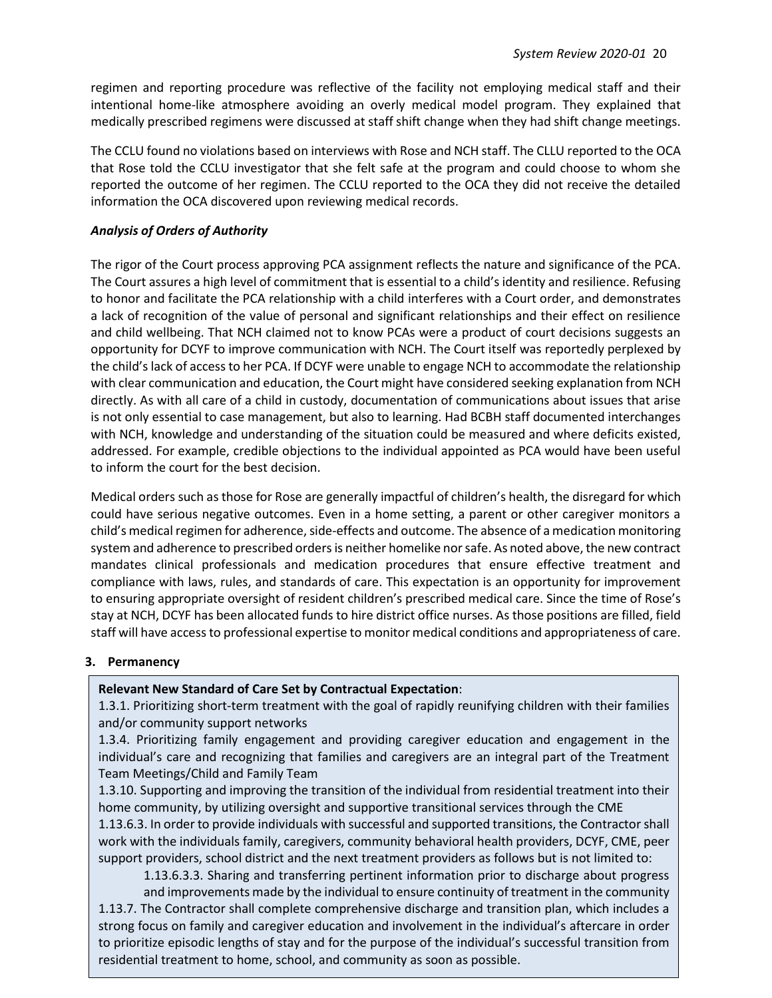regimen and reporting procedure was reflective of the facility not employing medical staff and their intentional home-like atmosphere avoiding an overly medical model program. They explained that medically prescribed regimens were discussed at staff shift change when they had shift change meetings.

The CCLU found no violations based on interviews with Rose and NCH staff. The CLLU reported to the OCA that Rose told the CCLU investigator that she felt safe at the program and could choose to whom she reported the outcome of her regimen. The CCLU reported to the OCA they did not receive the detailed information the OCA discovered upon reviewing medical records.

#### *Analysis of Orders of Authority*

The rigor of the Court process approving PCA assignment reflects the nature and significance of the PCA. The Court assures a high level of commitment that is essential to a child's identity and resilience. Refusing to honor and facilitate the PCA relationship with a child interferes with a Court order, and demonstrates a lack of recognition of the value of personal and significant relationships and their effect on resilience and child wellbeing. That NCH claimed not to know PCAs were a product of court decisions suggests an opportunity for DCYF to improve communication with NCH. The Court itself was reportedly perplexed by the child's lack of access to her PCA. If DCYF were unable to engage NCH to accommodate the relationship with clear communication and education, the Court might have considered seeking explanation from NCH directly. As with all care of a child in custody, documentation of communications about issues that arise is not only essential to case management, but also to learning. Had BCBH staff documented interchanges with NCH, knowledge and understanding of the situation could be measured and where deficits existed, addressed. For example, credible objections to the individual appointed as PCA would have been useful to inform the court for the best decision.

Medical orders such as those for Rose are generally impactful of children's health, the disregard for which could have serious negative outcomes. Even in a home setting, a parent or other caregiver monitors a child's medical regimen for adherence, side-effects and outcome. The absence of a medication monitoring system and adherence to prescribed orders is neither homelike nor safe. As noted above, the new contract mandates clinical professionals and medication procedures that ensure effective treatment and compliance with laws, rules, and standards of care. This expectation is an opportunity for improvement to ensuring appropriate oversight of resident children's prescribed medical care. Since the time of Rose's stay at NCH, DCYF has been allocated funds to hire district office nurses. As those positions are filled, field staff will have access to professional expertise to monitor medical conditions and appropriateness of care.

#### **3. Permanency**

#### **Relevant New Standard of Care Set by Contractual Expectation**:

1.3.1. Prioritizing short-term treatment with the goal of rapidly reunifying children with their families and/or community support networks

1.3.4. Prioritizing family engagement and providing caregiver education and engagement in the individual's care and recognizing that families and caregivers are an integral part of the Treatment Team Meetings/Child and Family Team

1.3.10. Supporting and improving the transition of the individual from residential treatment into their home community, by utilizing oversight and supportive transitional services through the CME

1.13.6.3. In order to provide individuals with successful and supported transitions, the Contractor shall work with the individuals family, caregivers, community behavioral health providers, DCYF, CME, peer support providers, school district and the next treatment providers as follows but is not limited to:

1.13.6.3.3. Sharing and transferring pertinent information prior to discharge about progress and improvements made by the individual to ensure continuity of treatment in the community

1.13.7. The Contractor shall complete comprehensive discharge and transition plan, which includes a strong focus on family and caregiver education and involvement in the individual's aftercare in order to prioritize episodic lengths of stay and for the purpose of the individual's successful transition from residential treatment to home, school, and community as soon as possible.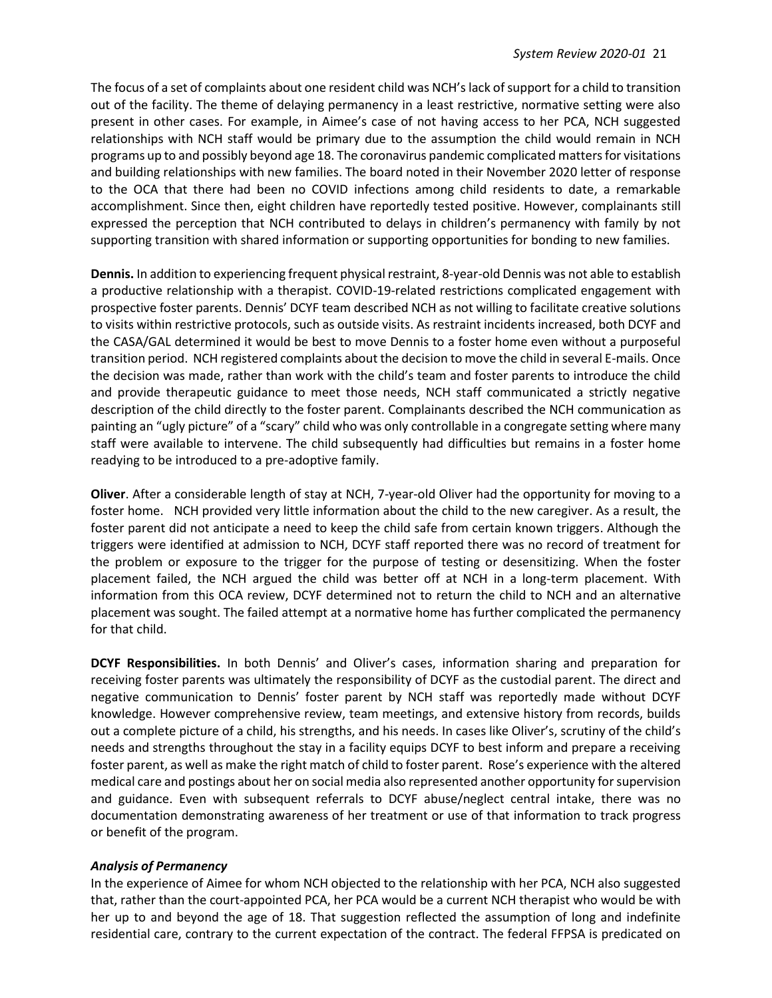The focus of a set of complaints about one resident child was NCH's lack of support for a child to transition out of the facility. The theme of delaying permanency in a least restrictive, normative setting were also present in other cases. For example, in Aimee's case of not having access to her PCA, NCH suggested relationships with NCH staff would be primary due to the assumption the child would remain in NCH programs up to and possibly beyond age 18. The coronavirus pandemic complicated matters for visitations and building relationships with new families. The board noted in their November 2020 letter of response to the OCA that there had been no COVID infections among child residents to date, a remarkable accomplishment. Since then, eight children have reportedly tested positive. However, complainants still expressed the perception that NCH contributed to delays in children's permanency with family by not supporting transition with shared information or supporting opportunities for bonding to new families.

**Dennis.** In addition to experiencing frequent physical restraint, 8-year-old Dennis was not able to establish a productive relationship with a therapist. COVID-19-related restrictions complicated engagement with prospective foster parents. Dennis' DCYF team described NCH as not willing to facilitate creative solutions to visits within restrictive protocols, such as outside visits. As restraint incidents increased, both DCYF and the CASA/GAL determined it would be best to move Dennis to a foster home even without a purposeful transition period. NCH registered complaints about the decision to move the child in several E-mails. Once the decision was made, rather than work with the child's team and foster parents to introduce the child and provide therapeutic guidance to meet those needs, NCH staff communicated a strictly negative description of the child directly to the foster parent. Complainants described the NCH communication as painting an "ugly picture" of a "scary" child who was only controllable in a congregate setting where many staff were available to intervene. The child subsequently had difficulties but remains in a foster home readying to be introduced to a pre-adoptive family.

**Oliver**. After a considerable length of stay at NCH, 7-year-old Oliver had the opportunity for moving to a foster home. NCH provided very little information about the child to the new caregiver. As a result, the foster parent did not anticipate a need to keep the child safe from certain known triggers. Although the triggers were identified at admission to NCH, DCYF staff reported there was no record of treatment for the problem or exposure to the trigger for the purpose of testing or desensitizing. When the foster placement failed, the NCH argued the child was better off at NCH in a long-term placement. With information from this OCA review, DCYF determined not to return the child to NCH and an alternative placement was sought. The failed attempt at a normative home has further complicated the permanency for that child.

**DCYF Responsibilities.** In both Dennis' and Oliver's cases, information sharing and preparation for receiving foster parents was ultimately the responsibility of DCYF as the custodial parent. The direct and negative communication to Dennis' foster parent by NCH staff was reportedly made without DCYF knowledge. However comprehensive review, team meetings, and extensive history from records, builds out a complete picture of a child, his strengths, and his needs. In cases like Oliver's, scrutiny of the child's needs and strengths throughout the stay in a facility equips DCYF to best inform and prepare a receiving foster parent, as well as make the right match of child to foster parent. Rose's experience with the altered medical care and postings about her on social media also represented another opportunity for supervision and guidance. Even with subsequent referrals to DCYF abuse/neglect central intake, there was no documentation demonstrating awareness of her treatment or use of that information to track progress or benefit of the program.

#### *Analysis of Permanency*

In the experience of Aimee for whom NCH objected to the relationship with her PCA, NCH also suggested that, rather than the court-appointed PCA, her PCA would be a current NCH therapist who would be with her up to and beyond the age of 18. That suggestion reflected the assumption of long and indefinite residential care, contrary to the current expectation of the contract. The federal FFPSA is predicated on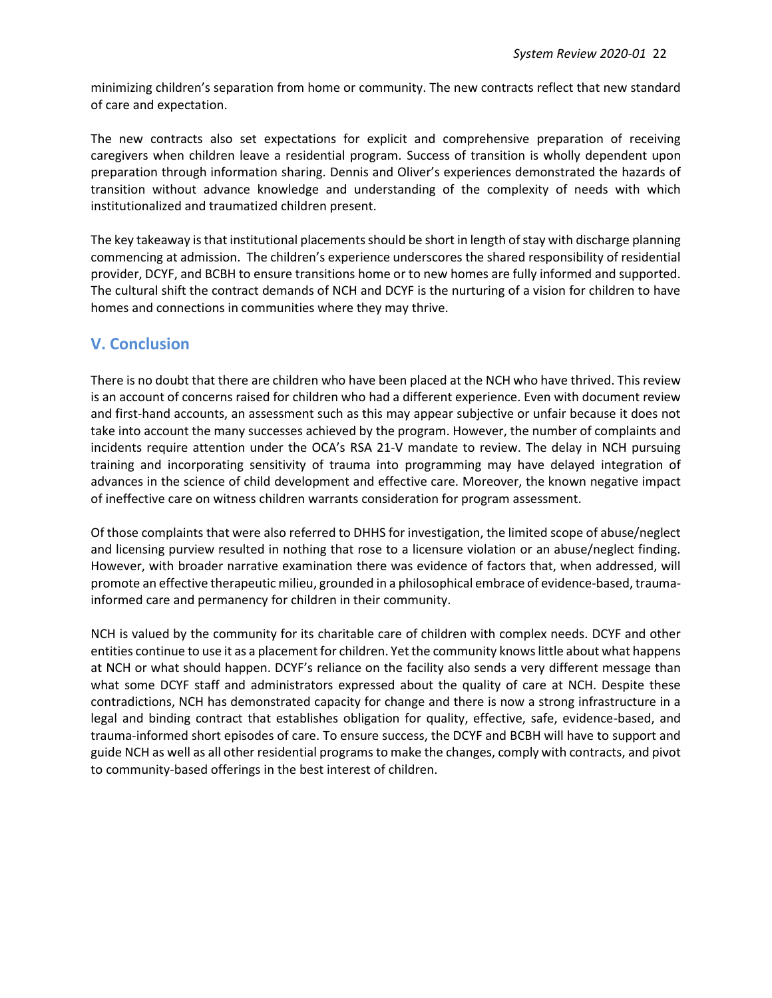minimizing children's separation from home or community. The new contracts reflect that new standard of care and expectation.

The new contracts also set expectations for explicit and comprehensive preparation of receiving caregivers when children leave a residential program. Success of transition is wholly dependent upon preparation through information sharing. Dennis and Oliver's experiences demonstrated the hazards of transition without advance knowledge and understanding of the complexity of needs with which institutionalized and traumatized children present.

The key takeaway is that institutional placements should be short in length of stay with discharge planning commencing at admission. The children's experience underscores the shared responsibility of residential provider, DCYF, and BCBH to ensure transitions home or to new homes are fully informed and supported. The cultural shift the contract demands of NCH and DCYF is the nurturing of a vision for children to have homes and connections in communities where they may thrive.

## **V. Conclusion**

There is no doubt that there are children who have been placed at the NCH who have thrived. This review is an account of concerns raised for children who had a different experience. Even with document review and first-hand accounts, an assessment such as this may appear subjective or unfair because it does not take into account the many successes achieved by the program. However, the number of complaints and incidents require attention under the OCA's RSA 21-V mandate to review. The delay in NCH pursuing training and incorporating sensitivity of trauma into programming may have delayed integration of advances in the science of child development and effective care. Moreover, the known negative impact of ineffective care on witness children warrants consideration for program assessment.

Of those complaints that were also referred to DHHS for investigation, the limited scope of abuse/neglect and licensing purview resulted in nothing that rose to a licensure violation or an abuse/neglect finding. However, with broader narrative examination there was evidence of factors that, when addressed, will promote an effective therapeutic milieu, grounded in a philosophical embrace of evidence-based, traumainformed care and permanency for children in their community.

NCH is valued by the community for its charitable care of children with complex needs. DCYF and other entities continue to use it as a placement for children. Yet the community knows little about what happens at NCH or what should happen. DCYF's reliance on the facility also sends a very different message than what some DCYF staff and administrators expressed about the quality of care at NCH. Despite these contradictions, NCH has demonstrated capacity for change and there is now a strong infrastructure in a legal and binding contract that establishes obligation for quality, effective, safe, evidence-based, and trauma-informed short episodes of care. To ensure success, the DCYF and BCBH will have to support and guide NCH as well as all other residential programs to make the changes, comply with contracts, and pivot to community-based offerings in the best interest of children.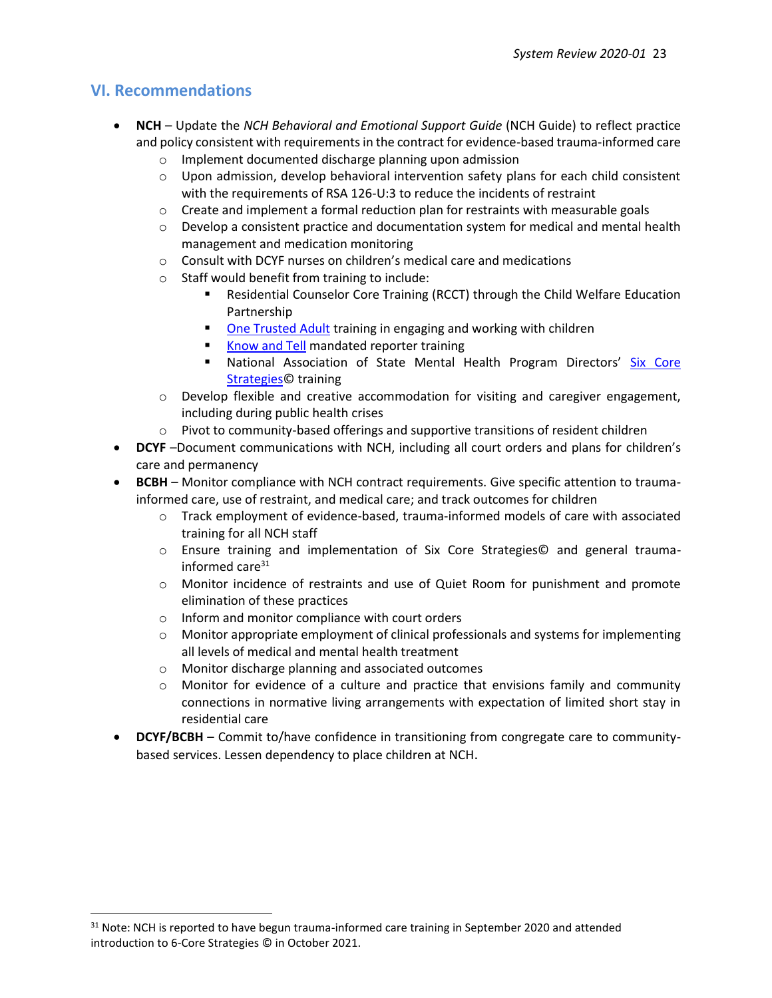## **VI. Recommendations**

- **NCH** Update the *NCH Behavioral and Emotional Support Guide* (NCH Guide) to reflect practice and policy consistent with requirements in the contract for evidence-based trauma-informed care
	- o Implement documented discharge planning upon admission
	- $\circ$  Upon admission, develop behavioral intervention safety plans for each child consistent with the requirements of RSA 126-U:3 to reduce the incidents of restraint
	- $\circ$  Create and implement a formal reduction plan for restraints with measurable goals
	- $\circ$  Develop a consistent practice and documentation system for medical and mental health management and medication monitoring
	- o Consult with DCYF nurses on children's medical care and medications
	- o Staff would benefit from training to include:
		- Residential Counselor Core Training (RCCT) through the Child Welfare Education Partnership
		- [One Trusted Adult](https://www.onetrustedadult.com/programs) training in engaging and working with children
		- [Know and Tell](https://knowandtell.org/) mandated reporter training
		- **E** National Association of State Mental Health Program Directors' Six Core [Strategies©](https://www.nasmhpd.org/content/six-core-strategies-reduce-seclusion-and-restraint-use) training
	- $\circ$  Develop flexible and creative accommodation for visiting and caregiver engagement, including during public health crises
	- $\circ$  Pivot to community-based offerings and supportive transitions of resident children
- **DCYF** –Document communications with NCH, including all court orders and plans for children's care and permanency
- **BCBH** Monitor compliance with NCH contract requirements. Give specific attention to traumainformed care, use of restraint, and medical care; and track outcomes for children
	- $\circ$  Track employment of evidence-based, trauma-informed models of care with associated training for all NCH staff
	- o Ensure training and implementation of Six Core Strategies© and general traumainformed care $31$
	- o Monitor incidence of restraints and use of Quiet Room for punishment and promote elimination of these practices
	- o Inform and monitor compliance with court orders
	- $\circ$  Monitor appropriate employment of clinical professionals and systems for implementing all levels of medical and mental health treatment
	- o Monitor discharge planning and associated outcomes
	- $\circ$  Monitor for evidence of a culture and practice that envisions family and community connections in normative living arrangements with expectation of limited short stay in residential care
- **DCYF/BCBH** Commit to/have confidence in transitioning from congregate care to communitybased services. Lessen dependency to place children at NCH.

<sup>&</sup>lt;sup>31</sup> Note: NCH is reported to have begun trauma-informed care training in September 2020 and attended introduction to 6-Core Strategies © in October 2021.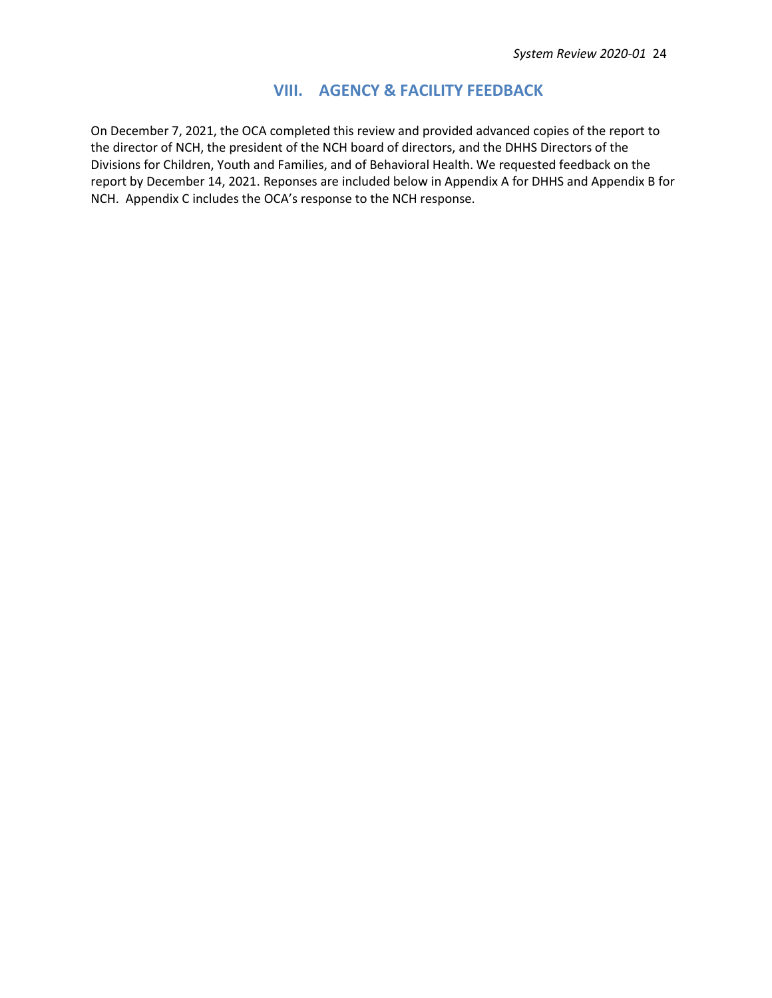### **VIII. AGENCY & FACILITY FEEDBACK**

On December 7, 2021, the OCA completed this review and provided advanced copies of the report to the director of NCH, the president of the NCH board of directors, and the DHHS Directors of the Divisions for Children, Youth and Families, and of Behavioral Health. We requested feedback on the report by December 14, 2021. Reponses are included below in Appendix A for DHHS and Appendix B for NCH. Appendix C includes the OCA's response to the NCH response.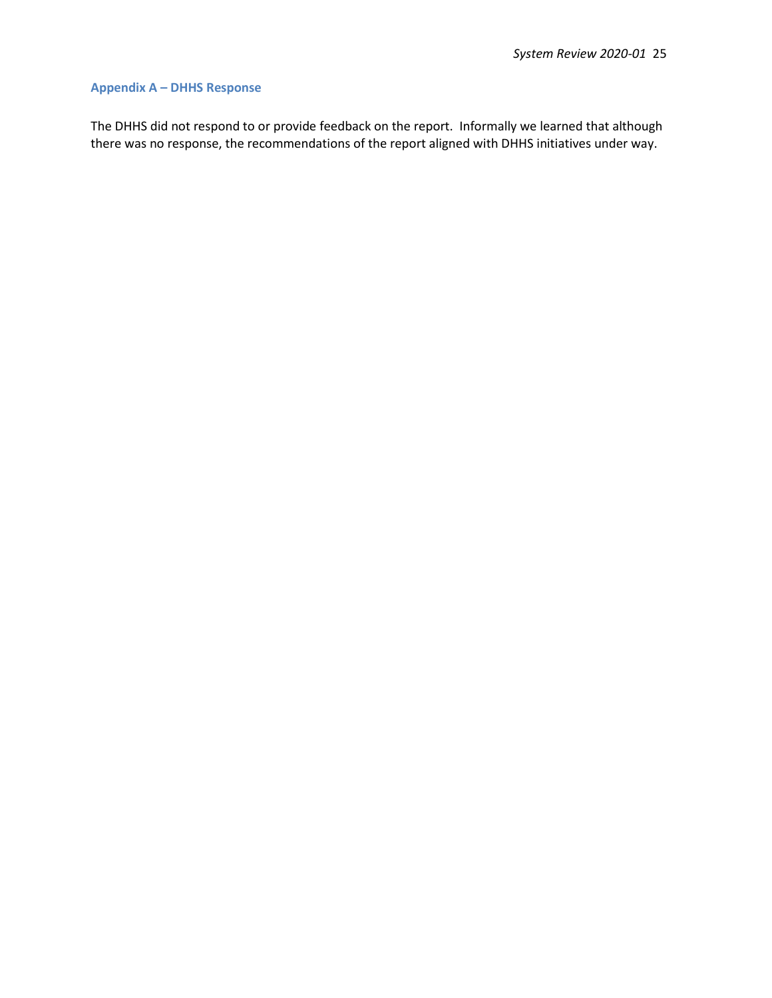#### **Appendix A – DHHS Response**

The DHHS did not respond to or provide feedback on the report. Informally we learned that although there was no response, the recommendations of the report aligned with DHHS initiatives under way.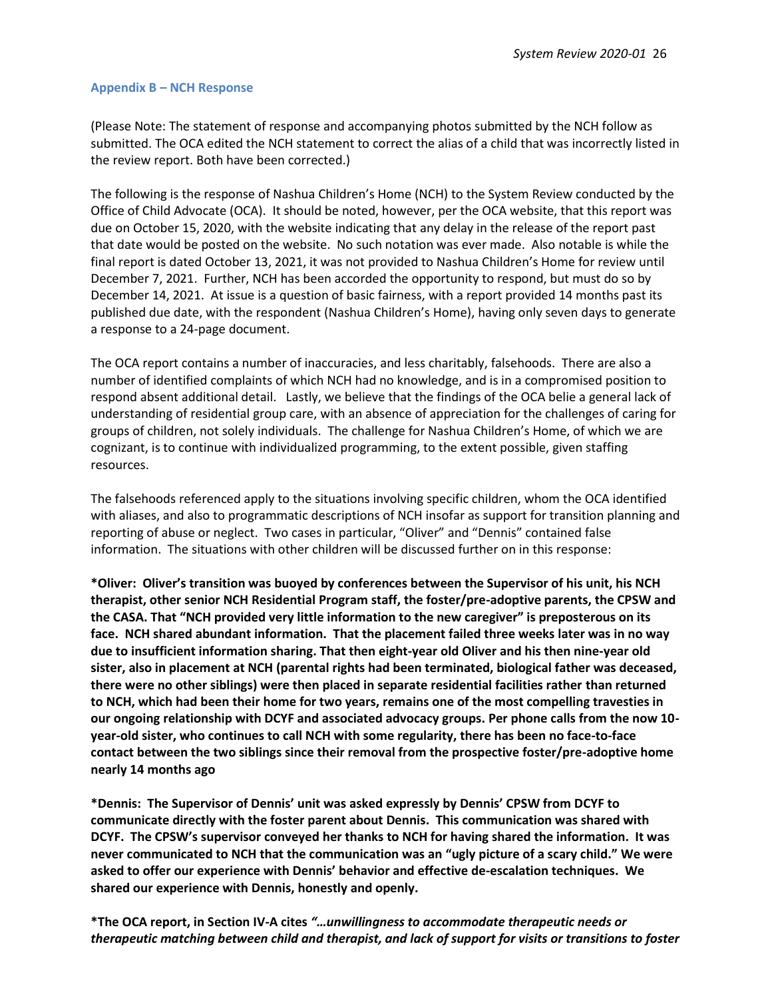#### **Appendix B – NCH Response**

(Please Note: The statement of response and accompanying photos submitted by the NCH follow as submitted. The OCA edited the NCH statement to correct the alias of a child that was incorrectly listed in the review report. Both have been corrected.)

The following is the response of Nashua Children's Home (NCH) to the System Review conducted by the Office of Child Advocate (OCA). It should be noted, however, per the OCA website, that this report was due on October 15, 2020, with the website indicating that any delay in the release of the report past that date would be posted on the website. No such notation was ever made. Also notable is while the final report is dated October 13, 2021, it was not provided to Nashua Children's Home for review until December 7, 2021. Further, NCH has been accorded the opportunity to respond, but must do so by December 14, 2021. At issue is a question of basic fairness, with a report provided 14 months past its published due date, with the respondent (Nashua Children's Home), having only seven days to generate a response to a 24-page document.

The OCA report contains a number of inaccuracies, and less charitably, falsehoods. There are also a number of identified complaints of which NCH had no knowledge, and is in a compromised position to respond absent additional detail. Lastly, we believe that the findings of the OCA belie a general lack of understanding of residential group care, with an absence of appreciation for the challenges of caring for groups of children, not solely individuals. The challenge for Nashua Children's Home, of which we are cognizant, is to continue with individualized programming, to the extent possible, given staffing resources.

The falsehoods referenced apply to the situations involving specific children, whom the OCA identified with aliases, and also to programmatic descriptions of NCH insofar as support for transition planning and reporting of abuse or neglect. Two cases in particular, "Oliver" and "Dennis" contained false information. The situations with other children will be discussed further on in this response:

**\*Oliver: Oliver's transition was buoyed by conferences between the Supervisor of his unit, his NCH therapist, other senior NCH Residential Program staff, the foster/pre-adoptive parents, the CPSW and the CASA. That "NCH provided very little information to the new caregiver" is preposterous on its face. NCH shared abundant information. That the placement failed three weeks later was in no way due to insufficient information sharing. That then eight-year old Oliver and his then nine-year old sister, also in placement at NCH (parental rights had been terminated, biological father was deceased, there were no other siblings) were then placed in separate residential facilities rather than returned to NCH, which had been their home for two years, remains one of the most compelling travesties in our ongoing relationship with DCYF and associated advocacy groups. Per phone calls from the now 10 year-old sister, who continues to call NCH with some regularity, there has been no face-to-face contact between the two siblings since their removal from the prospective foster/pre-adoptive home nearly 14 months ago**

**\*Dennis: The Supervisor of Dennis' unit was asked expressly by Dennis' CPSW from DCYF to communicate directly with the foster parent about Dennis. This communication was shared with DCYF. The CPSW's supervisor conveyed her thanks to NCH for having shared the information. It was never communicated to NCH that the communication was an "ugly picture of a scary child." We were asked to offer our experience with Dennis' behavior and effective de-escalation techniques. We shared our experience with Dennis, honestly and openly.**

**\*The OCA report, in Section IV-A cites** *"…unwillingness to accommodate therapeutic needs or therapeutic matching between child and therapist, and lack of support for visits or transitions to foster*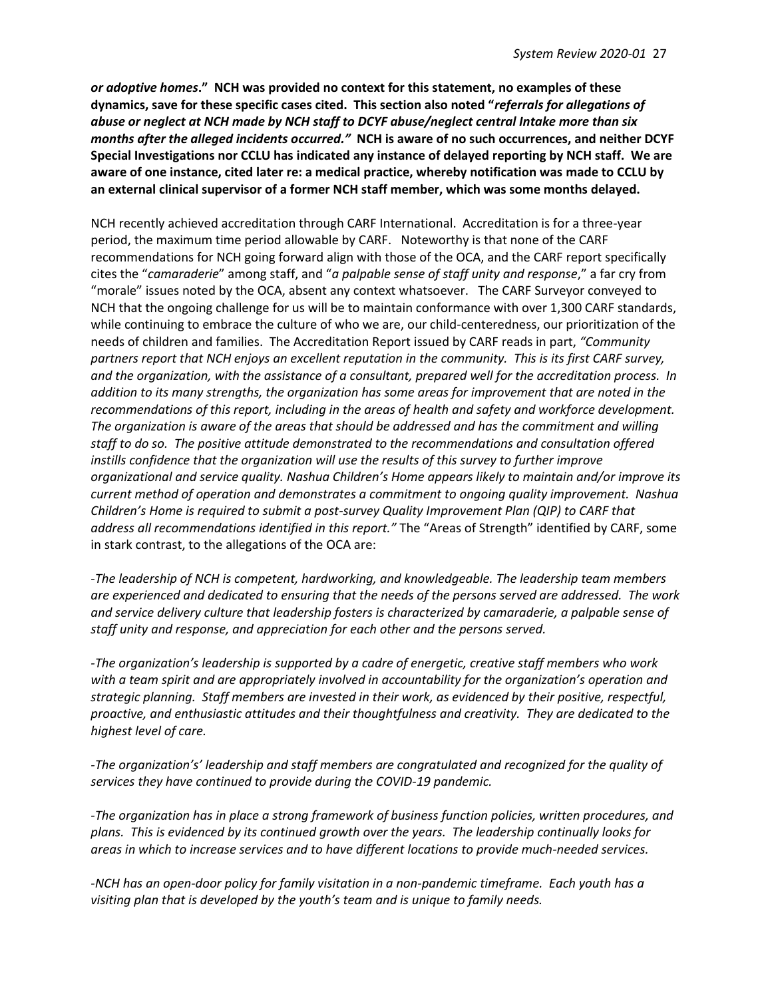*or adoptive homes***." NCH was provided no context for this statement, no examples of these dynamics, save for these specific cases cited. This section also noted "***referrals for allegations of abuse or neglect at NCH made by NCH staff to DCYF abuse/neglect central Intake more than six months after the alleged incidents occurred."* **NCH is aware of no such occurrences, and neither DCYF Special Investigations nor CCLU has indicated any instance of delayed reporting by NCH staff. We are aware of one instance, cited later re: a medical practice, whereby notification was made to CCLU by an external clinical supervisor of a former NCH staff member, which was some months delayed.**

NCH recently achieved accreditation through CARF International. Accreditation is for a three-year period, the maximum time period allowable by CARF. Noteworthy is that none of the CARF recommendations for NCH going forward align with those of the OCA, and the CARF report specifically cites the "*camaraderie*" among staff, and "*a palpable sense of staff unity and response*," a far cry from "morale" issues noted by the OCA, absent any context whatsoever. The CARF Surveyor conveyed to NCH that the ongoing challenge for us will be to maintain conformance with over 1,300 CARF standards, while continuing to embrace the culture of who we are, our child-centeredness, our prioritization of the needs of children and families. The Accreditation Report issued by CARF reads in part, *"Community partners report that NCH enjoys an excellent reputation in the community. This is its first CARF survey, and the organization, with the assistance of a consultant, prepared well for the accreditation process. In addition to its many strengths, the organization has some areas for improvement that are noted in the recommendations of this report, including in the areas of health and safety and workforce development. The organization is aware of the areas that should be addressed and has the commitment and willing staff to do so. The positive attitude demonstrated to the recommendations and consultation offered instills confidence that the organization will use the results of this survey to further improve organizational and service quality. Nashua Children's Home appears likely to maintain and/or improve its current method of operation and demonstrates a commitment to ongoing quality improvement. Nashua Children's Home is required to submit a post-survey Quality Improvement Plan (QIP) to CARF that address all recommendations identified in this report."* The "Areas of Strength" identified by CARF, some in stark contrast, to the allegations of the OCA are:

*-The leadership of NCH is competent, hardworking, and knowledgeable. The leadership team members are experienced and dedicated to ensuring that the needs of the persons served are addressed. The work and service delivery culture that leadership fosters is characterized by camaraderie, a palpable sense of staff unity and response, and appreciation for each other and the persons served.*

*-The organization's leadership is supported by a cadre of energetic, creative staff members who work with a team spirit and are appropriately involved in accountability for the organization's operation and strategic planning. Staff members are invested in their work, as evidenced by their positive, respectful, proactive, and enthusiastic attitudes and their thoughtfulness and creativity. They are dedicated to the highest level of care.*

*-The organization's' leadership and staff members are congratulated and recognized for the quality of services they have continued to provide during the COVID-19 pandemic.*

*-The organization has in place a strong framework of business function policies, written procedures, and plans. This is evidenced by its continued growth over the years. The leadership continually looks for areas in which to increase services and to have different locations to provide much-needed services.*

*-NCH has an open-door policy for family visitation in a non-pandemic timeframe. Each youth has a visiting plan that is developed by the youth's team and is unique to family needs.*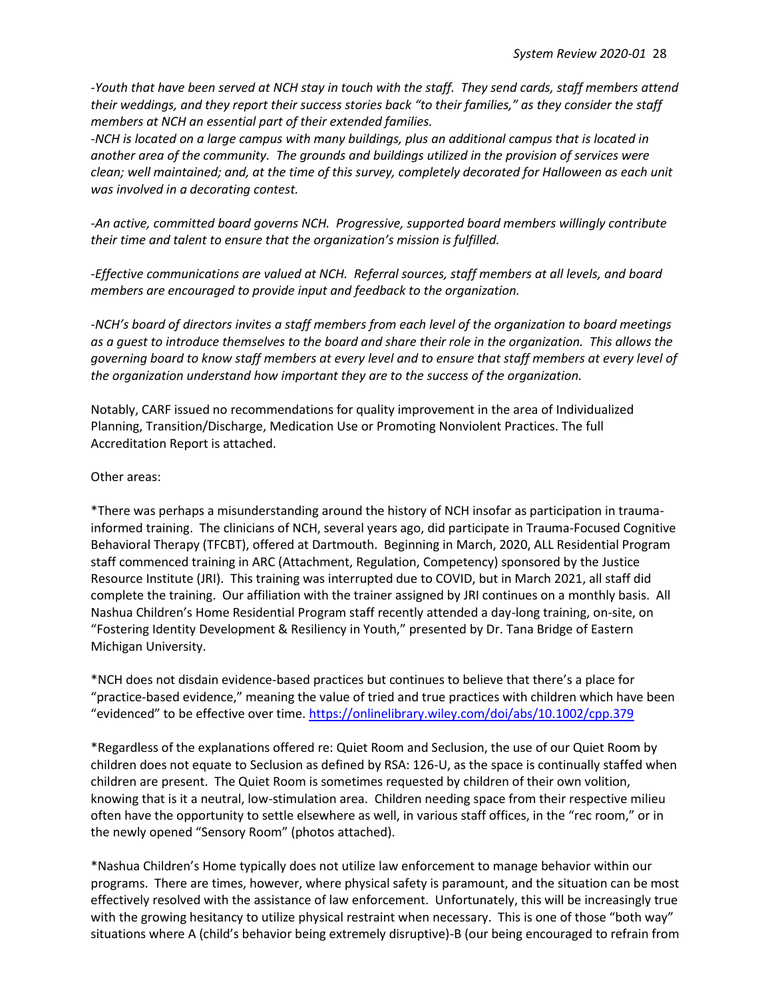*-Youth that have been served at NCH stay in touch with the staff. They send cards, staff members attend their weddings, and they report their success stories back "to their families," as they consider the staff members at NCH an essential part of their extended families.*

*-NCH is located on a large campus with many buildings, plus an additional campus that is located in another area of the community. The grounds and buildings utilized in the provision of services were clean; well maintained; and, at the time of this survey, completely decorated for Halloween as each unit was involved in a decorating contest.*

*-An active, committed board governs NCH. Progressive, supported board members willingly contribute their time and talent to ensure that the organization's mission is fulfilled.*

*-Effective communications are valued at NCH. Referral sources, staff members at all levels, and board members are encouraged to provide input and feedback to the organization.*

*-NCH's board of directors invites a staff members from each level of the organization to board meetings as a guest to introduce themselves to the board and share their role in the organization. This allows the governing board to know staff members at every level and to ensure that staff members at every level of the organization understand how important they are to the success of the organization.*

Notably, CARF issued no recommendations for quality improvement in the area of Individualized Planning, Transition/Discharge, Medication Use or Promoting Nonviolent Practices. The full Accreditation Report is attached.

#### Other areas:

\*There was perhaps a misunderstanding around the history of NCH insofar as participation in traumainformed training. The clinicians of NCH, several years ago, did participate in Trauma-Focused Cognitive Behavioral Therapy (TFCBT), offered at Dartmouth. Beginning in March, 2020, ALL Residential Program staff commenced training in ARC (Attachment, Regulation, Competency) sponsored by the Justice Resource Institute (JRI). This training was interrupted due to COVID, but in March 2021, all staff did complete the training. Our affiliation with the trainer assigned by JRI continues on a monthly basis. All Nashua Children's Home Residential Program staff recently attended a day-long training, on-site, on "Fostering Identity Development & Resiliency in Youth," presented by Dr. Tana Bridge of Eastern Michigan University.

\*NCH does not disdain evidence-based practices but continues to believe that there's a place for "practice-based evidence," meaning the value of tried and true practices with children which have been "evidenced" to be effective over time. <https://onlinelibrary.wiley.com/doi/abs/10.1002/cpp.379>

\*Regardless of the explanations offered re: Quiet Room and Seclusion, the use of our Quiet Room by children does not equate to Seclusion as defined by RSA: 126-U, as the space is continually staffed when children are present. The Quiet Room is sometimes requested by children of their own volition, knowing that is it a neutral, low-stimulation area. Children needing space from their respective milieu often have the opportunity to settle elsewhere as well, in various staff offices, in the "rec room," or in the newly opened "Sensory Room" (photos attached).

\*Nashua Children's Home typically does not utilize law enforcement to manage behavior within our programs. There are times, however, where physical safety is paramount, and the situation can be most effectively resolved with the assistance of law enforcement. Unfortunately, this will be increasingly true with the growing hesitancy to utilize physical restraint when necessary. This is one of those "both way" situations where A (child's behavior being extremely disruptive)-B (our being encouraged to refrain from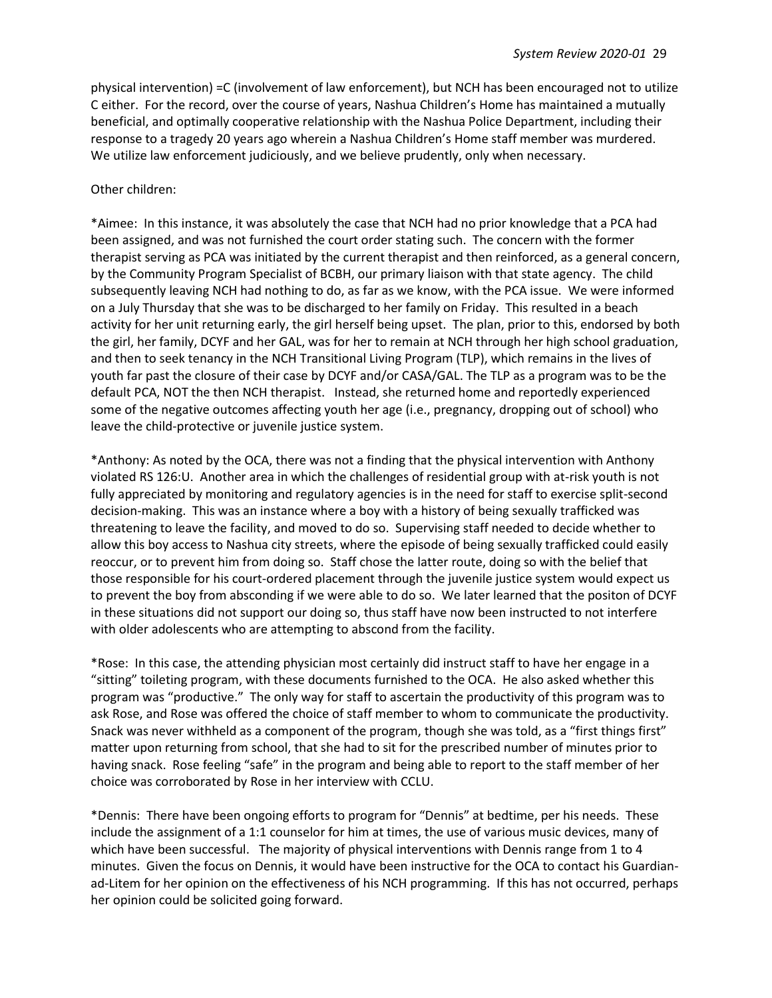physical intervention) =C (involvement of law enforcement), but NCH has been encouraged not to utilize C either. For the record, over the course of years, Nashua Children's Home has maintained a mutually beneficial, and optimally cooperative relationship with the Nashua Police Department, including their response to a tragedy 20 years ago wherein a Nashua Children's Home staff member was murdered. We utilize law enforcement judiciously, and we believe prudently, only when necessary.

#### Other children:

\*Aimee: In this instance, it was absolutely the case that NCH had no prior knowledge that a PCA had been assigned, and was not furnished the court order stating such. The concern with the former therapist serving as PCA was initiated by the current therapist and then reinforced, as a general concern, by the Community Program Specialist of BCBH, our primary liaison with that state agency. The child subsequently leaving NCH had nothing to do, as far as we know, with the PCA issue. We were informed on a July Thursday that she was to be discharged to her family on Friday. This resulted in a beach activity for her unit returning early, the girl herself being upset. The plan, prior to this, endorsed by both the girl, her family, DCYF and her GAL, was for her to remain at NCH through her high school graduation, and then to seek tenancy in the NCH Transitional Living Program (TLP), which remains in the lives of youth far past the closure of their case by DCYF and/or CASA/GAL. The TLP as a program was to be the default PCA, NOT the then NCH therapist. Instead, she returned home and reportedly experienced some of the negative outcomes affecting youth her age (i.e., pregnancy, dropping out of school) who leave the child-protective or juvenile justice system.

\*Anthony: As noted by the OCA, there was not a finding that the physical intervention with Anthony violated RS 126:U. Another area in which the challenges of residential group with at-risk youth is not fully appreciated by monitoring and regulatory agencies is in the need for staff to exercise split-second decision-making. This was an instance where a boy with a history of being sexually trafficked was threatening to leave the facility, and moved to do so. Supervising staff needed to decide whether to allow this boy access to Nashua city streets, where the episode of being sexually trafficked could easily reoccur, or to prevent him from doing so. Staff chose the latter route, doing so with the belief that those responsible for his court-ordered placement through the juvenile justice system would expect us to prevent the boy from absconding if we were able to do so. We later learned that the positon of DCYF in these situations did not support our doing so, thus staff have now been instructed to not interfere with older adolescents who are attempting to abscond from the facility.

\*Rose: In this case, the attending physician most certainly did instruct staff to have her engage in a "sitting" toileting program, with these documents furnished to the OCA. He also asked whether this program was "productive." The only way for staff to ascertain the productivity of this program was to ask Rose, and Rose was offered the choice of staff member to whom to communicate the productivity. Snack was never withheld as a component of the program, though she was told, as a "first things first" matter upon returning from school, that she had to sit for the prescribed number of minutes prior to having snack. Rose feeling "safe" in the program and being able to report to the staff member of her choice was corroborated by Rose in her interview with CCLU.

\*Dennis: There have been ongoing efforts to program for "Dennis" at bedtime, per his needs. These include the assignment of a 1:1 counselor for him at times, the use of various music devices, many of which have been successful. The majority of physical interventions with Dennis range from 1 to 4 minutes. Given the focus on Dennis, it would have been instructive for the OCA to contact his Guardianad-Litem for her opinion on the effectiveness of his NCH programming. If this has not occurred, perhaps her opinion could be solicited going forward.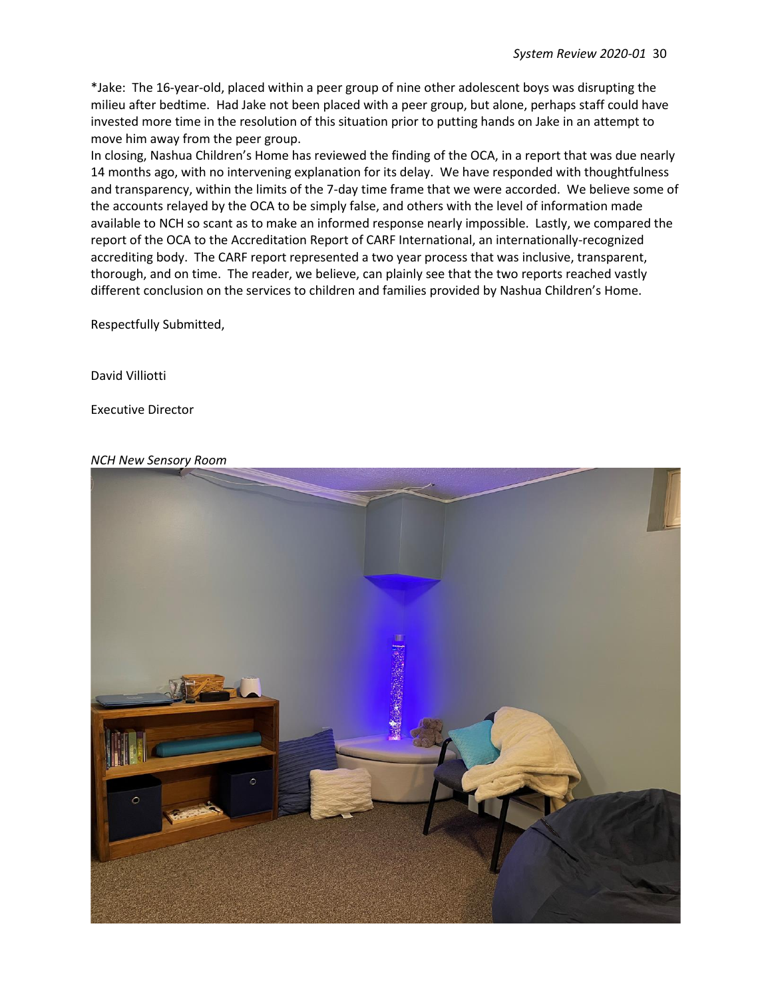\*Jake: The 16-year-old, placed within a peer group of nine other adolescent boys was disrupting the milieu after bedtime. Had Jake not been placed with a peer group, but alone, perhaps staff could have invested more time in the resolution of this situation prior to putting hands on Jake in an attempt to move him away from the peer group.

In closing, Nashua Children's Home has reviewed the finding of the OCA, in a report that was due nearly 14 months ago, with no intervening explanation for its delay. We have responded with thoughtfulness and transparency, within the limits of the 7-day time frame that we were accorded. We believe some of the accounts relayed by the OCA to be simply false, and others with the level of information made available to NCH so scant as to make an informed response nearly impossible. Lastly, we compared the report of the OCA to the Accreditation Report of CARF International, an internationally-recognized accrediting body. The CARF report represented a two year process that was inclusive, transparent, thorough, and on time. The reader, we believe, can plainly see that the two reports reached vastly different conclusion on the services to children and families provided by Nashua Children's Home.

Respectfully Submitted,

David Villiotti

Executive Director

#### *NCH New Sensory Room*

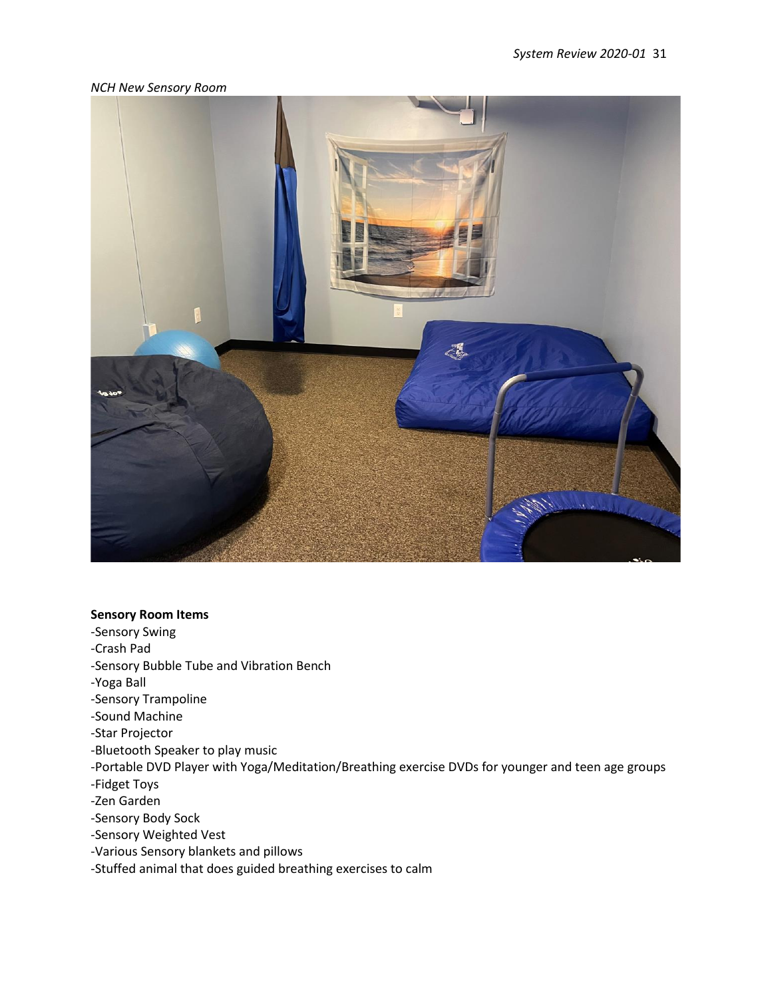#### *NCH New Sensory Room*



#### **Sensory Room Items**

- -Sensory Swing
- -Crash Pad
- -Sensory Bubble Tube and Vibration Bench
- -Yoga Ball
- -Sensory Trampoline
- -Sound Machine
- -Star Projector
- -Bluetooth Speaker to play music
- -Portable DVD Player with Yoga/Meditation/Breathing exercise DVDs for younger and teen age groups
- -Fidget Toys
- -Zen Garden
- -Sensory Body Sock
- -Sensory Weighted Vest
- -Various Sensory blankets and pillows
- -Stuffed animal that does guided breathing exercises to calm